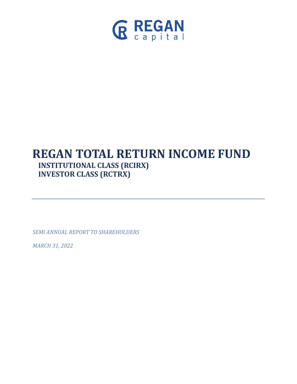

# **REGAN TOTAL RETURN INCOME FUND INSTITUTIONAL CLASS (RCIRX) INVESTOR CLASS (RCTRX)**

*SEMI ANNUAL REPORT TO SHAREHOLDERS* 

*MARCH 31, 2022*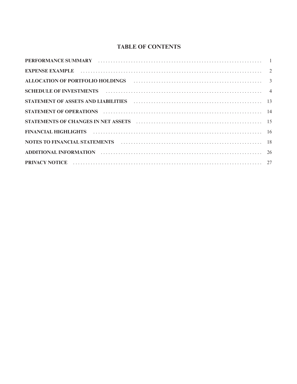### **TABLE OF CONTENTS**

| ALLOCATION OF PORTFOLIO HOLDINGS (and the contract contract of the contract of the contract of the contract of the contract of the contract of the contract of the contract of the contract of the contract of the contract of |  |
|--------------------------------------------------------------------------------------------------------------------------------------------------------------------------------------------------------------------------------|--|
| SCHEDULE OF INVESTMENTS (and the contract of the contract of the contract of the contract of the contract of the contract of the contract of the contract of the contract of the contract of the contract of the contract of t |  |
| STATEMENT OF ASSETS AND LIABILITIES (and the contract of the contract of the contract of the contract of the contract of the contract of the contract of the contract of the contract of the contract of the contract of the c |  |
|                                                                                                                                                                                                                                |  |
| STATEMENTS OF CHANGES IN NET ASSETS (and the contract of the contract of the state of the state of the state o                                                                                                                 |  |
| FINANCIAL HIGHLIGHTS (and according to the control of the control of the control of the control of the control of the control of the control of the control of the control of the control of the control of the control of the |  |
|                                                                                                                                                                                                                                |  |
|                                                                                                                                                                                                                                |  |
|                                                                                                                                                                                                                                |  |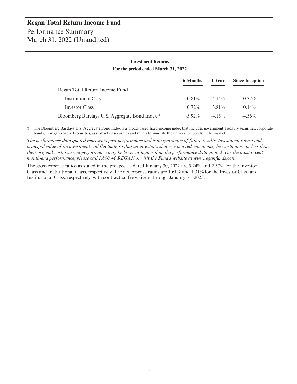#### **Investment Returns For the period ended March 31, 2022**

|                                                             | 6-Months  | 1-Year   | <b>Since Inception</b> |
|-------------------------------------------------------------|-----------|----------|------------------------|
| Regan Total Return Income Fund                              |           |          |                        |
| Institutional Class                                         | $0.81\%$  | $4.14\%$ | $10.37\%$              |
| Investor Class                                              | $0.72\%$  | 3.81%    | $10.14\%$              |
| Bloomberg Barclays U.S. Aggregate Bond Index <sup>(1)</sup> | $-5.92\%$ | $-4$ 15% | $-4.56%$               |

(1) The Bloomberg Barclays U.S. Aggregate Bond Index is a broad-based fixed-income index that includes government Treasury securities, corporate bonds, mortgage-backed securities, asset-backed securities and munis to simulate the universe of bonds in the market.

*The performance data quoted represents past performance and is no guarantee of future results. Investment return and principal value of an investment will fluctuate so that an investor's shares, when redeemed, may be worth more or less than their original cost. Current performance may be lower or higher than the performance data quoted. For the most recent month-end performance, please call 1.800.44.REGAN or visit the Fund's website at www.reganfunds.com.*

The gross expense ratios as stated in the prospectus dated January 30, 2022 are 5.24% and 2.57% for the Investor Class and Institutional Class, respectively. The net expense ratios are 1.61% and 1.31% for the Investor Class and Institutional Class, respectively, with contractual fee waivers through January 31, 2023.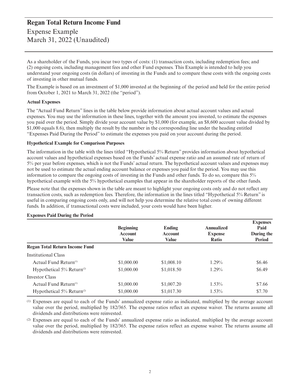### **Regan Total Return Income Fund** Expense Example March 31, 2022 (Unaudited)

As a shareholder of the Funds, you incur two types of costs: (1) transaction costs, including redemption fees; and (2) ongoing costs, including management fees and other Fund expenses. This Example is intended to help you understand your ongoing costs (in dollars) of investing in the Funds and to compare these costs with the ongoing costs of investing in other mutual funds.

The Example is based on an investment of \$1,000 invested at the beginning of the period and held for the entire period from October 1, 2021 to March 31, 2022 (the "period").

#### **Actual Expenses**

The "Actual Fund Return" lines in the table below provide information about actual account values and actual expenses. You may use the information in these lines, together with the amount you invested, to estimate the expenses you paid over the period. Simply divide your account value by \$1,000 (for example, an \$8,600 account value divided by \$1,000 equals 8.6), then multiply the result by the number in the corresponding line under the heading entitled "Expenses Paid During the Period" to estimate the expenses you paid on your account during the period.

#### **Hypothetical Example for Comparison Purposes**

The information in the table with the lines titled "Hypothetical 5% Return" provides information about hypothetical account values and hypothetical expenses based on the Funds' actual expense ratio and an assumed rate of return of 5% per year before expenses, which is not the Funds' actual return. The hypothetical account values and expenses may not be used to estimate the actual ending account balance or expenses you paid for the period. You may use this information to compare the ongoing costs of investing in the Funds and other funds. To do so, compare this 5% hypothetical example with the 5% hypothetical examples that appear in the shareholder reports of the other funds.

Please note that the expenses shown in the table are meant to highlight your ongoing costs only and do not reflect any transaction costs, such as redemption fees. Therefore, the information in the lines titled "Hypothetical 5% Return" is useful in comparing ongoing costs only, and will not help you determine the relative total costs of owning different funds. In addition, if transactional costs were included, your costs would have been higher.

|                                          | <b>Beginning</b><br><b>Account</b><br>Value | Ending<br><b>Account</b><br>Value | Annualized<br><b>Expense</b><br>Ratio | <b>Expenses</b><br>Paid<br>During the<br><b>Period</b> |
|------------------------------------------|---------------------------------------------|-----------------------------------|---------------------------------------|--------------------------------------------------------|
| <b>Regan Total Return Income Fund</b>    |                                             |                                   |                                       |                                                        |
| <b>Institutional Class</b>               |                                             |                                   |                                       |                                                        |
| Actual Fund Return <sup>(1)</sup>        | \$1,000.00                                  | \$1,008.10                        | $1.29\%$                              | \$6.46                                                 |
| Hypothetical $5\%$ Return <sup>(2)</sup> | \$1,000.00                                  | \$1,018.50                        | $1.29\%$                              | \$6.49                                                 |
| <b>Investor Class</b>                    |                                             |                                   |                                       |                                                        |
| Actual Fund Return <sup>(1)</sup>        | \$1,000.00                                  | \$1,007.20                        | $1.53\%$                              | \$7.66                                                 |
| Hypothetical $5\%$ Return <sup>(2)</sup> | \$1,000.00                                  | \$1,017.30                        | $1.53\%$                              | \$7.70                                                 |

#### **Expenses Paid During the Period**

(1) Expenses are equal to each of the Funds' annualized expense ratio as indicated, multiplied by the average account value over the period, multiplied by 182/365. The expense ratios reflect an expense waiver. The returns assume all dividends and distributions were reinvested.

(2) Expenses are equal to each of the Funds' annualized expense ratio as indicated, multiplied by the average account value over the period, multiplied by 182/365. The expense ratios reflect an expense waiver. The returns assume all dividends and distributions were reinvested.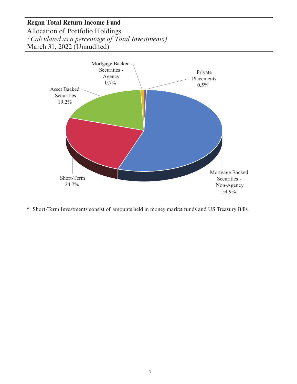Allocation of Portfolio Holdings *(Calculated as a percentage of Total Investments)* March 31, 2022 (Unaudited)



\* Short-Term Investments consist of amounts held in money market funds and US Treasury Bills.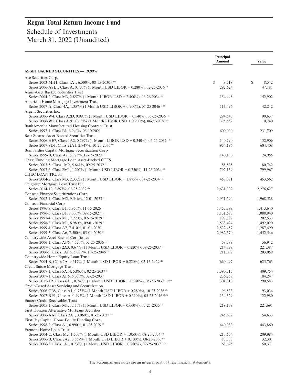|                                                                                                                                          | Principal<br><b>Amount</b> | <b>Value</b>       |
|------------------------------------------------------------------------------------------------------------------------------------------|----------------------------|--------------------|
| <b>ASSET BACKED SECURITIES - 19.99%</b>                                                                                                  |                            |                    |
| Ace Securities Corp.                                                                                                                     |                            |                    |
| Series 2003-MH1, Class 1A1, 6.500%, 08-15-2030 <sup>(1)(3)</sup>                                                                         | $\mathbb{S}$<br>8,518      | \$<br>8,542        |
| Series 2006-ASL1, Class A, 0.737% (1 Month USD LIBOR + 0.280%), 02-25-2036 <sup>(2)</sup>                                                | 292,624                    | 47,181             |
| Aegis Asset Backed Securities Trust                                                                                                      |                            |                    |
| Series 2004-2, Class M3, 2.857% (1 Month LIBOR USD + 2.400%), 06-26-2034 <sup>(2)</sup><br>American Home Mortgage Investment Trust       | 154,448                    | 152,902            |
| Series 2007-A, Class 4A, 1.357% (1 Month USD LIBOR + 0.900%), 07-25-2046 <sup>(2)(3)</sup>                                               | 113,496                    | 42,242             |
| Argent Securities Inc.                                                                                                                   |                            |                    |
| Series 2006-W4, Class A2D, 0.997% (1 Month USD LIBOR + 0.540%), 05-25-2036 <sup>(2)</sup>                                                | 294,543                    | 90,637             |
| Series 2006-W5, Class A2B, 0.657% (1 Month LIBOR USD + 0.200%), 06-25-2036 <sup>(2)</sup>                                                | 325,552                    | 110,740            |
| BankAmerica Manufactured Housing Contract Trust                                                                                          |                            |                    |
| Series 1997-1, Class B1, 6.940%, 06-10-2021                                                                                              | 600,000                    | 231,709            |
| Bear Stearns Asset Backed Securities Trust                                                                                               |                            |                    |
| Series 2006-HE7, Class 1A2, 0.797% (1 Month LIBOR USD + 0.340%), 06-25-2036 <sup>(2)(a)</sup>                                            | 140,790                    | 132,906            |
| Series 2007-SD1, Class 22A1, 2.747%, 10-25-2036 <sup>(1)</sup><br>Bombardier Capital Mortgage Securitization Corp.                       | 954,196                    | 604,408            |
| Series 1999-B, Class A2, 6.975%, 12-15-2029 <sup>(1)</sup>                                                                               | 140,180                    | 24,955             |
| Chase Funding Mortgage Loan Asset-Backed CTFS                                                                                            |                            |                    |
| Series 2003-5, Class 1M2, 5.641%, 09-25-2032 <sup>(1)</sup>                                                                              | 88,535                     | 80,742             |
| Series 2003-6, Class 2M1, 1.207% (1 Month USD LIBOR + 0.750%), 11-25-2034 <sup>(2)</sup>                                                 | 797,139                    | 799,967            |
| <b>CHEC LOAN TRUST</b>                                                                                                                   |                            |                    |
| Series 2004-2, Class M3, 2.332% (1 Month USD LIBOR + 1.875%), 04-25-2034 <sup>(2)</sup>                                                  | 457,071                    | 453,562            |
| Citigroup Mortgage Loan Trust Inc                                                                                                        |                            |                    |
| Series 2014-12, 2.897%, 02-25-2037 <sup>(1)</sup>                                                                                        | 2,631,932                  | 2,276,627          |
| Conseco Finance Securitizations Corp.<br>Series 2002-1, Class M2, 9.546%, 12-01-2033 <sup>(1)</sup>                                      |                            |                    |
| Conseco Financial Corp                                                                                                                   | 1,951,594                  | 1,968,528          |
| Series 1996-8, Class B1, 7.950%, 11-15-2026 <sup>(1)</sup>                                                                               | 1,453,799                  | 1,413,640          |
| Series 1996-6, Class B1, 8.000%, 09-15-2027 <sup>(1)</sup>                                                                               | 1,131,683                  | 1,088,940          |
| Series 1997-4, Class M1, 7.220%, 02-15-2029 <sup>(1)</sup>                                                                               | 197,797                    | 202,533            |
| Series 1998-8, Class M1, 6.980%, 09-01-2029 <sup>(1)</sup>                                                                               | 1,538,424                  | 1,492,020          |
| Series 1999-4, Class A7, 7.410%, 01-01-2030                                                                                              | 2,527,457                  | 1,287,490          |
| Series 1999-5, Class A6, 7.500%, 03-01-2030 <sup>(1)</sup>                                                                               | 2,982,570                  | 1,452,546          |
| Countrywide Asset-Backed Certificates                                                                                                    |                            |                    |
| Series 2006-1, Class AF6, 4.520%, 07-25-2036 <sup>(1)</sup><br>Series 2007-6, Class 2A3, 0.677% (1 Month USD LIBOR + 0.220%), 09-25-2037 | 58,789                     | 56.942             |
| Series 2006-9, Class 1AF6, 5.989%, 10-25-2046 <sup>(1)</sup>                                                                             | 214,889<br>211,097         | 221,387<br>203,059 |
| Countrywide Home Equity Loan Trust                                                                                                       |                            |                    |
| Series 2004-B, Class 2A, 0.617% (1 Month USD LIBOR + 0.220%), 02-15-2029                                                                 | 660,497                    | 625,763            |
| Credit Suisse Mortgage Trust                                                                                                             |                            |                    |
| Series 2007-1, Class 5A14, 5.863%, 02-25-2037 <sup>(1)</sup>                                                                             | 1,390,715                  | 409,754            |
| Series 2007-1, Class AF6, 6.000%, 02-25-2037                                                                                             | 236,259                    | 184,247            |
| Series 2015-1R, Class 6A1, 0.747% (1 Month USD LIBOR + 0.280%), 05-27-2037 (2)(3)(a)                                                     | 301,810                    | 290,583            |
| Credit-Based Asset Servicing and Securitization                                                                                          |                            |                    |
| Series 2006-CB8, Class A1, 0.737% (1 Month USD LIBOR + 0.280%), 10-25-2036 <sup>(2)</sup>                                                | 96,833                     | 93,034             |
| Series 2007-RP1, Class A, 0.497% (1 Month USD LIBOR + 0.310%), 05-25-2046 (2)(3)<br><b>Encore Credit Receivables Trust</b>               | 134,329                    | 122,980            |
| Series 2005-1, Class M1, 1.117% (1 Month USD LIBOR + 0.660%), 07-25-2035                                                                 | 219,109                    | 221,691            |
| First Horizon Alternative Mortgage Securities                                                                                            |                            |                    |
| Series 2006-AA8, Class 2A1, 3.060%, 01-25-2037 <sup>(1)</sup>                                                                            | 245,632                    | 154,633            |
| FirstCity Capital Home Equity Funding Corp.                                                                                              |                            |                    |
| Series 1998-2, Class A1, 6.990%, 01-25-2029 <sup>(3)</sup>                                                                               | 440,083                    | 443,860            |
| Fremont Home Loan Trust                                                                                                                  |                            |                    |
| Series 2004-C, Class M2, 1.507% (1 Month USD LIBOR + 1.050%), 08-25-2034 <sup>(2)</sup>                                                  | 217,654                    | 209,984            |
| Series 2006-B, Class 2A2, 0.557% (1 Month USD LIBOR + 0.100%), 08-25-2036                                                                | 83,333                     | 32,301             |
| Series 2006-3, Class 1A1, 0.737% (1 Month USD LIBOR + 0.280%), 02-25-2037 <sup>(2)(a)</sup>                                              | 68,625                     | 50,371             |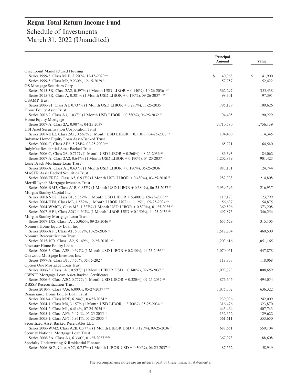|                                                                                                                                                                                 | <b>Principal</b><br>Amount | <b>Value</b> |
|---------------------------------------------------------------------------------------------------------------------------------------------------------------------------------|----------------------------|--------------|
| Greenpoint Manufactured Housing                                                                                                                                                 |                            |              |
| Series 1999-5, Class M1B, 8.290%, 12-15-2029 <sup>(1)</sup>                                                                                                                     | S<br>40,968                | S<br>41,900  |
| Series 1999-5, Class M2, 9.230%, 12-15-2029 <sup>(1)</sup>                                                                                                                      | 57,757                     | 52,422       |
| GS Mortgage Securities Corp.                                                                                                                                                    |                            |              |
| Series 2015-3R, Class 2A2, 0.597% (1 Month USD LIBOR + 0.140%), 10-26-2036 (2)(3)<br>Series 2015-7R, Class A, 0.381% (1 Month USD LIBOR + 0.150%), 09-26-2037 <sup>(2)(3)</sup> | 362,297                    | 355,438      |
| <b>GSAMP</b> Trust                                                                                                                                                              | 98,301                     | 97,391       |
| Series 2006-S1, Class A1, 0.737% (1 Month USD LIBOR + 0.280%), 11-25-2035 <sup>(2)</sup>                                                                                        | 795,179                    | 109,626      |
| Home Equity Asset Trust                                                                                                                                                         |                            |              |
| Series 2002-2, Class A3, 1.037% (1 Month USD LIBOR + 0.580%), 06-25-2032 <sup>(2)</sup>                                                                                         | 94,405                     | 90,229       |
| Home Equity Mortgage                                                                                                                                                            |                            |              |
| Series 2007-A, Class 2A, 0.907%, 04-25-2037                                                                                                                                     | 3,710,580                  | 1,756,139    |
| HSI Asset Securitization Corporation Trust                                                                                                                                      |                            |              |
| Series 2007-HE2, Class 2A1, 0.567% (1 Month USD LIBOR + 0.110%), 04-25-2037 <sup>(2)</sup>                                                                                      | 194,400                    | 114,345      |
| Indymac Home Equity Loan Asset-Backed Trust                                                                                                                                     |                            |              |
| Series 2000-C, Class AF6, 5.754%, 02-25-2030 <sup>(1)</sup>                                                                                                                     | 65,721                     | 64,540       |
| IndyMac Residential Asset Backed Trust                                                                                                                                          |                            |              |
| Series 2006-C, Class 2A, 0.717% (1 Month USD LIBOR + 0.260%), 08-25-2036 <sup>(2)</sup>                                                                                         | 86,393                     | 84,062       |
| Series 2007-A, Class 2A2, 0.647% (1 Month USD LIBOR + 0.190%), 04-25-2037 <sup>(2)</sup>                                                                                        | 1,202,839                  | 901,423      |
| Long Beach Mortgage Loan Trust                                                                                                                                                  |                            |              |
| Series 2006-A, Class A1, 0.637% (1 Month USD LIBOR + 0.180%), 05-25-2036 <sup>(2)</sup>                                                                                         | 983,131                    | 24,744       |
| <b>MASTR Asset Backed Securities Trust</b>                                                                                                                                      |                            |              |
| Series 2006-FRE2, Class A5, 0.937% (1 Month USD LIBOR + 0.480%), 03-25-2036 <sup>(2)</sup><br>Merrill Lynch Mortgage Investors Trust                                            | 282,338                    | 214,808      |
| Series 2006-RM3, Class A1B, 0.837% (1 Month USD LIBOR + 0.380%), 06-25-2037                                                                                                     | 5,939,596                  | 216,937      |
| Morgan Stanley Capital Inc                                                                                                                                                      |                            |              |
| Series 2003-NC8, Class B1, 5.857% (1 Month USD LIBOR + 5.400%), 09-25-2033 <sup>(2)</sup>                                                                                       | 119,173                    | 123,799      |
| Series 2004-HE8, Class M3, 1.582% (1 Month LIBOR USD + 1.125%), 09-25-2034 <sup>(2)</sup>                                                                                       | 56,637                     | 54,875       |
| Series 2004-WMC3, Class M3, 1.327% (1 Month USD LIBOR + 0.870%), 01-25-2035 <sup>(2)</sup>                                                                                      | 369,596                    | 373,208      |
| Series 2007-HE1, Class A2C, 0.607% (1 Month LIBOR USD + 0.150%), 11-25-2036 <sup>(2)</sup>                                                                                      | 497,875                    | 346,254      |
| Morgan Stanley Mortgage Loan Trust                                                                                                                                              |                            |              |
| Series 2007-1XS, Class 1A1, 5.965%, 09-25-2046 <sup>(4)</sup>                                                                                                                   | 657,629                    | 315,105      |
| Nomura Home Equity Loan Inc                                                                                                                                                     |                            |              |
| Series 2006-AF1, Class A1, 6.032%, 10-25-2036 (4)                                                                                                                               | 1,512,204                  | 460,500      |
| Nomura Resecuritization Trust                                                                                                                                                   |                            |              |
| Series 2015-10R, Class 1A2, 5.149%, 12-25-2036 <sup>(1)(3)</sup>                                                                                                                | 1,203,616                  | 1,051,165    |
| Novastar Home Equity Loan                                                                                                                                                       |                            |              |
| Series 2006-5, Class A2B, 0.697% (1 Month USD LIBOR + 0.240%), 11-25-2036 <sup>(2)</sup>                                                                                        | 1,070,051                  | 447,878      |
| Oakwood Mortgage Investors Inc.                                                                                                                                                 |                            |              |
| Series 1997-A, Class B1, 7.450%, 05-15-2027                                                                                                                                     | 118,837                    | 118,068      |
| Option One Mortgage Loan Trust                                                                                                                                                  |                            |              |
| Series 2006-3, Class 1A1, 0.597% (1 Month LIBOR USD + 0.140%), 02-25-2037 <sup>(2)</sup>                                                                                        | 1,093,773                  | 808,659      |
| <b>OWNIT Mortgage Loan Asset-Backed Certificates</b><br>Series 2006-6, Class A2C, 0.777% (1 Month USD LIBOR + 0.320%), 09-25-2037 <sup>(2)</sup>                                | 876,646                    | 494,054      |
| <b>RBSSP Resecuritization Trust</b>                                                                                                                                             |                            |              |
| Series 2010-9, Class 7A6, 6.000%, 05-27-2037 (1)(3)                                                                                                                             | 1,075,302                  | 636,322      |
| Renaissance Home Equity Loan Trust                                                                                                                                              |                            |              |
| Series 2003-4, Class M2F, 6.244%, 03-25-2034 <sup>(4)</sup>                                                                                                                     | 239,036                    | 242,009      |
| Series 2004-1, Class M4, 3.157% (1 Month USD LIBOR + 2.700%), 05-25-2034 <sup>(2)</sup>                                                                                         | 316,476                    | 323,870      |
| Series 2004-2, Class M1, 6.414%, 07-25-2034 <sup>(4)</sup>                                                                                                                      | 445,464                    | 407,743      |
| Series 2005-1, Class AF6, 5.470%, 05-25-2035 <sup>(4)</sup>                                                                                                                     | 132,652                    | 129,622      |
| Series 2005-1, Class AF5, 5.951%, 05-25-2035 <sup>(4)</sup>                                                                                                                     | 561,611                    | 553,650      |
| Securitized Asset Backed Receivables LLC                                                                                                                                        |                            |              |
| Series 2006-WM2, Class A2B, 0.577% (1 Month LIBOR USD + 0.120%), 09-25-2036 <sup>(2)</sup>                                                                                      | 688,651                    | 559,104      |
| Security National Mortgage Loan Trust                                                                                                                                           |                            |              |
| Series 2006-3A, Class A3, 6.330%, 01-25-2037 <sup>(1)(3)</sup>                                                                                                                  | 367,978                    | 188,608      |
| Specialty Underwriting & Residential Finance                                                                                                                                    |                            |              |
| Series 2006-BC3, Class A2C, 0.757% (1 Month LIBOR USD + 0.300%), 06-25-2037 <sup>(2)</sup>                                                                                      | 87,552                     | 58,949       |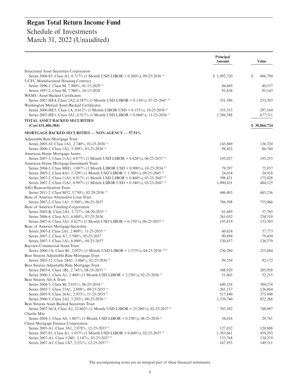|                                                                                                              | Principal<br>Amount | <b>Value</b>  |
|--------------------------------------------------------------------------------------------------------------|---------------------|---------------|
| Structured Asset Securities Corporation                                                                      |                     |               |
| Series 2006-S3, Class A1, 0.717% (1 Month USD LIBOR + 0.260%), 09-25-2036 <sup>(2)</sup>                     | \$1,092,720         | \$<br>406,794 |
| <b>UCFC Manufactured Housing Contract</b>                                                                    |                     |               |
| Series 1996-1, Class M, 7.900%, 01-15-2028 (1)                                                               | 44.669              | 40,157        |
| Series 1997-2, Class M, 7.380%, 10-15-2028                                                                   | 91,636              | 91,143        |
| <b>WAMU Asset-Backed Certificates</b>                                                                        |                     |               |
| Series 2007-HE4, Class 2A2, 0.587% (1 Month USD LIBOR + 0.130%), 07-25-2047                                  | 351,386             | 253,303       |
| Washington Mutual Asset-Backed Certificates                                                                  |                     |               |
| Series 2006-HE5, Class 1A, 0.612% (1 Month LIBOR USD + 0.155%), 10-25-2036 <sup>(2)</sup>                    | 355,315             | 297,164       |
| Series 2007-HE1, Class 2A1, 0.517% (1 Month USD LIBOR + 0.060%), 11-25-2036                                  | 1,586,388           | 677,311       |
| <b>TOTAL ASSET BACKED SECURITIES</b>                                                                         |                     |               |
| (Cost \$31,406,384)                                                                                          |                     | \$30,866,724  |
| <b>MORTGAGE BACKED SECURITIES — NON-AGENCY — 57.51%</b>                                                      |                     |               |
| Adjustable Rate Mortgage Trust                                                                               |                     |               |
| Series 2005-10, Class 1A1, 2.740%, 01-25-2036 <sup>(1)</sup>                                                 | 145,869             | 136,320       |
| Series 2006-1, Class 1A1, 3.309%, 03-25-2036 <sup>(1)</sup>                                                  | 98,422              | 86,760        |
| American Home Mortgage Assets                                                                                |                     |               |
| Series 2007-3, Class 11A1, 0.877% (1 Month USD LIBOR + 0.420%), 06-25-2037 <sup>(2)</sup>                    | 195,027             | 195,255       |
| American Home Mortgage Investment Trust                                                                      |                     |               |
| Series 2004-3, Class MH1, 1.087% (1 Month LIBOR USD + 0.900%), 10-25-2034 <sup>(2)</sup>                     | 79,397              | 75,037        |
| Series 2005-2, Class 4A1, 2.329% (1 Month USD LIBOR + 1.500%), 09-25-2045 <sup>(2)</sup>                     | 24,034              | 24,018        |
| Series 2007-2, Class 11A1, 0.917% (1 Month USD LIBOR + 0.460%), 03-25-2047 <sup>(2)</sup>                    | 398,421             | 173,028       |
| Series 2007-2, Class 12A1, 0.997% (1 Month LIBOR USD + 0.540%), 03-25-2047 <sup>(2)</sup>                    | 1,090,431           | 484,125       |
| <b>ASG</b> Resecuritization Trust                                                                            |                     |               |
| Series 2011-2, Class M52, 5.750%, 02-28-2036 <sup>(3)</sup>                                                  | 446,403             | 445,236       |
| Banc of America Alternative Loan Trust                                                                       |                     |               |
| Series 2007-2, Class 1A1, 5.500%, 06-25-2037                                                                 | 786,598             | 755,066       |
| Banc of America Funding Corporation                                                                          |                     |               |
| Series 2005-B, Class 2A1, 2.727%, 04-20-2035 <sup>(1)</sup>                                                  | 61,689              | 57,765        |
| Series 2006-4, Class A11, 6.000%, 07-25-2036                                                                 | 261,052             | 234,510       |
| Series 2007-4, Class 3A1, 0.827% (1 Month USD LIBOR + 0.370%), 06-25-2037 <sup>(2)</sup>                     | 195,819             | 153,505       |
| Banc of America Mortgage Securities                                                                          |                     |               |
| Series 2005-J, Class 2A1, 2.409%, 11-25-2035 <sup>(1)</sup>                                                  | 60,624              | 57,773        |
| Series 2007-2, Class A7, 5.500%, 05-25-2037                                                                  | 90,894              | 79,454        |
| Series 2007-3, Class 1A1, 6.000%, 09-25-2037                                                                 | 130,857             | 126,379       |
| <b>Bayview Commercial Asset Trust</b>                                                                        |                     |               |
| Series 2006-1A, Class B1, 2.032% (1 Month USD LIBOR + 1.575%), 04-25-2036 (2)(3)                             | 230,280             | 215,684       |
| Bear Stearns Adjustable Rate Mortgage Trust<br>Series 2005-12, Class 24A1, 3.066%, 02-25-2036 <sup>(1)</sup> | 99,354              | 92,172        |
| Bear Stearns Adjustable Rate Mortgage Trust                                                                  |                     |               |
| Series 2003-6, Class 1B1, 2.743%, 08-25-2033 <sup>(1)</sup>                                                  | 348,929             | 285,958       |
| Series 2006-1, Class A1, 2.400% (1 Month USD LIBOR + 2.250%), 02-25-2036                                     | 51,603              | 52,215        |
| Bear Stearns Alt-A Trust                                                                                     |                     |               |
| Series 2004-5, Class M, 2.651%, 06-25-2034 <sup>(1)</sup>                                                    | 649,218             | 584,270       |
| Series 2005-7, Class 23A1, 2.888%, 09-25-2035 <sup>(1)</sup>                                                 | 261,157             | 126,864       |
| Series 2005-9, Class 26A1, 2.953%, 11-25-2035 <sup>(1)</sup>                                                 | 517,840             | 375,948       |
| Series 2006-5, Class 2A2, 3.292%, 08-25-2036 <sup>(1)</sup>                                                  | 1,339,740           | 822,266       |
| Bear Stearns Asset Backed Securities Trust                                                                   |                     |               |
| Series 2007-AC4, Class A2, 23.602% (1 Month USD LIBOR + 25.200%), 02-25-2037                                 | 703,582             | 748,097       |
| Charlie Mac                                                                                                  |                     |               |
| Series 2004-1, Class A8, 1.007% (1 Month USD LIBOR + 0.550%), 08-25-2034 <sup>(2)</sup>                      | 34,016              | 29,761        |
| Chase Mortgage Finance Corporation                                                                           |                     |               |
| Series 2005-A1, Class 3A1, 2.878%, 12-25-2035 <sup>(1)</sup>                                                 | 127,032             | 120,088       |
| Series 2007-S1, Class A1, 1.057% (1 Month USD LIBOR + 0.600%), 02-25-2037 <sup>(2)</sup>                     | 1,383,661           | 459,293       |
| Series 2007-A1, Class 11M1, 3.147%, 03-25-2037 <sup>(1)</sup>                                                | 133,768             | 134,219       |
| Series 2007-A3, Class 1A7, 3.251%, 12-25-2037 <sup>(1)</sup>                                                 | 167,955             | 149,511       |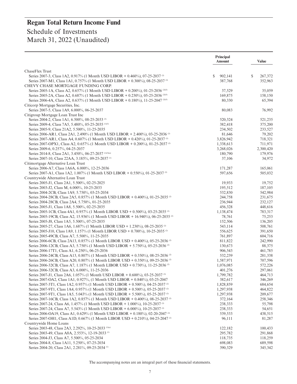# **Regan Total Return Income Fund** Schedule of Investments

|  | March 31, 2022 (Unaudited) |
|--|----------------------------|
|--|----------------------------|

|                                                                                                                                                                                          | Principal<br>Amount  | <b>Value</b>       |
|------------------------------------------------------------------------------------------------------------------------------------------------------------------------------------------|----------------------|--------------------|
| ChaseFlex Trust                                                                                                                                                                          |                      |                    |
| Series 2007-3, Class 1A2, 0.917% (1 Month USD LIBOR + 0.460%), 07-25-2037 <sup>(2)</sup>                                                                                                 | \$<br>902,141        | \$<br>267,372      |
| Series 2007-M1, Class 1A1, 0.757% (1 Month USD LIBOR + 0.300%), 08-25-2037 <sup>(2)</sup>                                                                                                | 387,768              | 352,963            |
| CHEVY CHASE MORTGAGE FUNDING CORP.                                                                                                                                                       |                      |                    |
| Series 2005-1A, Class A2, 0.657% (1 Month USD LIBOR + 0.200%), 01-25-2036 (2(3)                                                                                                          | 37,529               | 35,059             |
| Series 2005-2A, Class A2, 0.687% (1 Month USD LIBOR + 0.230%), 05-25-2036 (2)(3)                                                                                                         | 169,875              | 158,150            |
| Series 2006-4A, Class A2, 0.637% (1 Month USD LIBOR + 0.180%), 11-25-2047 (2)(3)                                                                                                         | 80,330               | 65,394             |
| Citicorp Mortgage Securities, Inc.                                                                                                                                                       |                      |                    |
| Series 2007-5, Class 1A9, 6.000%, 06-25-2037<br>Citigroup Mortgage Loan Trust Inc                                                                                                        | 80,083               | 76,992             |
| Series 2004-2, Class 1A1, 6.500%, 08-25-2033 <sup>(3)</sup>                                                                                                                              | 520,324              | 521,235            |
| Series 2009-4, Class 7A5, 5.480%, 05-25-2035 (1)(3)                                                                                                                                      | 382,418              | 375,200            |
| Series 2005-9, Class 21A2, 5.500%, 11-25-2035                                                                                                                                            | 234,502              | 233,527            |
| Series 2006-AR1, Class 2A1, 2.490% (1 Month USD LIBOR + 2.400%), 03-25-2036                                                                                                              | 81,646               | 79,202             |
| Series 2007-AR1, Class A4, 0.607% (1 Month USD LIBOR + 0.420%), 01-25-2037 <sup>(2)</sup>                                                                                                | 3,826,942            | 718,321            |
| Series 2007-OPX1, Class A2, 0.657% (1 Month USD LIBOR + 0.200%), 01-25-2037 <sup>(2)</sup>                                                                                               | 1,338,613            | 711,971            |
| Series 2009-6, 0.257%, 04-25-2037                                                                                                                                                        | 3,268,026            | 2,300,420          |
| Series 2014-8, Class 2A1, 3.450%, 06-27-2037 (1)(3)(a)                                                                                                                                   | 180,790              | 179,976            |
| Series 2007-10, Class 22AA, 3.185%, 09-25-2037 <sup>(1)</sup>                                                                                                                            | 37,106               | 34,972             |
| Citimortgage Alternative Loan Trust                                                                                                                                                      |                      |                    |
| Series 2006-A7, Class 1A6A, 6.000%, 12-25-2036<br>Series 2007-A1, Class 1A2, 1.007% (1 Month USD LIBOR + 0.550%), 01-25-2037 <sup>(2)</sup>                                              | 171,287<br>597,656   | 165,061<br>505,032 |
| Countrywide Alternative Loan Trust                                                                                                                                                       |                      |                    |
| Series 2005-J1, Class 2A1, 5.500%, 02-25-2025                                                                                                                                            | 19,933               | 19,752             |
| Series 2003-J2, Class M, 6.000%, 10-25-2033                                                                                                                                              | 195,512              | 187,105            |
| Series 2004-2CB, Class 1A9, 5.750%, 03-25-2034                                                                                                                                           | 532,830              | 542,984            |
| Series 2004-28CB, Class 2A5, 0.857% (1 Month USD LIBOR + 0.400%), 01-25-2035                                                                                                             | 244,758              | 231,675            |
| Series 2004-28CB, Class 2A4, 5.750%, 01-25-2035                                                                                                                                          | 236,944              | 232,127            |
| Series 2005-J1, Class 1A8, 5.500%, 02-25-2035                                                                                                                                            | 456,328              | 448,616            |
| Series 2005-1CB, Class 4A1, 0.957% (1 Month LIBOR USD + 0.500%), 03-25-2035 <sup>(2)</sup>                                                                                               | 1,138,474            | 783,317            |
| Series 2005-19CB, Class A2, 15.936% (1 Month USD LIBOR + 16.940%), 06-25-2035 <sup>(2)</sup>                                                                                             | 78,761               | 75,253             |
| Series 2005-J8, Class 1A5, 5.500%, 07-25-2035                                                                                                                                            | 152,506              | 136,205            |
| Series 2005-27, Class 1A6, 1.687% (1 Month LIBOR USD + 1.230%), 08-25-2035 <sup>(2)</sup>                                                                                                | 543,114              | 508,761            |
| Series 2005-J10, Class 1A9, 1.157% (1 Month LIBOR USD + 0.700%), 10-25-2035 <sup>(2)</sup><br>Series 2005-49CB, Class A7, 5.500%, 11-25-2035                                             | 556,625<br>761,897   | 391,650<br>604,716 |
| Series 2006-6CB, Class 2A13, 0.857% (1 Month LIBOR USD + 0.400%), 05-25-2036 <sup>(2)</sup>                                                                                              | 811,822              | 242,990            |
| Series 2006-12CB, Class A3, 5.750% (1 Month USD LIBOR + 5.750%), 05-25-2036                                                                                                              | 130,673              | 88,375             |
| Series 2006-17T1, Class A1, 6.250%, 06-25-2036                                                                                                                                           | 906,543              | 461,785            |
| Series 2006-24CB, Class A13, 0.807% (1 Month USD LIBOR + 0.350%), 08-25-2036 <sup>(2)</sup>                                                                                              | 532,239              | 281,338            |
| Series 2006-26CB, Class A20, 0.807% (1 Month LIBOR USD + 0.350%), 09-25-2036                                                                                                             | 1,587,971            | 707,596            |
| Series 2006-32CB, Class A7, 1.187% (1 Month LIBOR USD + 0.730%), 11-25-2036 <sup>(2)</sup>                                                                                               | 1,076,085            | 572,226            |
| Series 2006-32CB, Class A3, 6.000%, 11-25-2036                                                                                                                                           | 401,276              | 297,061            |
| Series 2007-J1, Class 2A6, 1.057% (1 Month USD LIBOR + 0.600%), 03-25-2037 <sup>(2)</sup>                                                                                                | 1,799,782            | 464,713            |
| Series 2007-OA2, Class 1A1, 0.927%, (1 Month USD LIBOR + 0.840%), 03-25-2047                                                                                                             | 382,617              | 346,269            |
| Series 2007-3T1, Class 1A2, 0.957% (1 Month USD LIBOR + 0.500%), 04-25-2037 <sup>(2)</sup>                                                                                               | 1,828,859            | 684,654            |
| Series 2007-9T1, Class 1A4, 0.957% (1 Month USD LIBOR + 0.500%), 05-25-2037 <sup>(2)</sup><br>Series 2007-9T1, Class 1A5, 5.043% (1 Month USD LIBOR + 5.500%), 05-25-2037 <sup>(2)</sup> | 1,297,938            | 464,822<br>209,677 |
| Series 2007-16CB, Class 1A2, 0.857% (1 Month USD LIBOR + 0.400%), 08-25-2037 <sup>(2)</sup>                                                                                              | 1,297,938<br>372,164 | 258,346            |
| Series 2007-24, Class A6, 1.457% (1 Month USD LIBOR + 1.000%), 10-25-2037 <sup>(2)</sup>                                                                                                 | 238,333              | 55,798             |
| Series 2007-24, Class A7, 5.543% (1 Month USD LIBOR + 6.000%), 10-25-2037 <sup>(2)</sup>                                                                                                 | 238,333              | 54,651             |
| Series 2006-OA19, Class A1, 0.629% (1 Month USD LIBOR + 0.180%), 02-20-2047 <sup>(2)</sup>                                                                                               | 539,533              | 438,515            |
| Series 2007-OH1, Class A1D, 0.667% (1 Month LIBOR USD + 0.210%), 04-25-2047 <sup>(2)</sup>                                                                                               | 96,111               | 81,287             |
| Countrywide Home Loans                                                                                                                                                                   |                      |                    |
| Series 2003-48, Class 2A3, 2.292%, 10-25-2033 <sup>(1)(a)</sup>                                                                                                                          | 122,182              | 100,433            |
| Series 2003-49, Class A8A, 2.553%, 12-19-2033 <sup>(1)</sup>                                                                                                                             | 295,782              | 291,868            |
| Series 2004-J3, Class A7, 5.500%, 05-25-2034                                                                                                                                             | 118,735              | 118,259            |
| Series 2004-8, Class 1A11, 5.250%, 07-25-2034                                                                                                                                            | 698,083              | 689,598            |
| Series 2004-20, Class 2A1, 2.281%, 09-25-2034 <sup>(1)</sup>                                                                                                                             | 390,329              | 345,342            |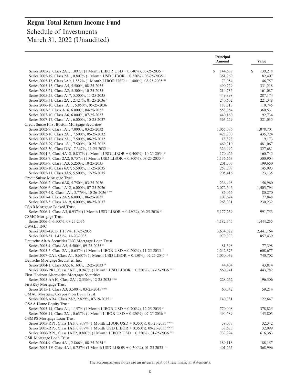# **Regan Total Return Income Fund** Schedule of Investments

March 31, 2022 (Unaudited)

|                                                                                           | <b>Principal</b><br>Amount | <b>Value</b>     |
|-------------------------------------------------------------------------------------------|----------------------------|------------------|
| Series 2005-2, Class 2A1, 1.097% (1 Month LIBOR USD + 0.640%), 03-25-2035                 | \$<br>144,688              | S<br>139,278     |
| Series 2005-19, Class 2A1, 0.807% (1 Month USD LIBOR + 0.350%), 08-25-2035 <sup>(2)</sup> | 361,769                    | 82,407           |
| Series 2005-J2, Class 3A9, 1.857% (1 Month LIBOR USD + 1.400%), 08-25-2035 <sup>(2)</sup> | 73,054                     | 46,757           |
| Series 2005-15, Class A5, 5.500%, 08-25-2035                                              | 490,729                    | 331,218          |
| Series 2005-21, Class A2, 5.500%, 10-25-2035                                              | 214,735                    | 161,087          |
| Series 2005-25, Class A17, 5.500%, 11-25-2035                                             | 449,898                    | 287,174          |
| Series 2005-31, Class 2A1, 2.427%, 01-25-2036 <sup>(1)</sup>                              | 240,602                    | 221,348          |
| Series 2006-10, Class 1A11, 5.850%, 05-25-2036                                            | 183,713                    | 110,745          |
| Series 2007-3, Class A16, 6.000%, 04-25-2037                                              | 558,954                    | 360,531          |
| Series 2007-10, Class A6, 6.000%, 07-25-2037                                              | 440,160                    | 92,734           |
| Series 2007-17, Class 1A1, 6.000%, 10-25-2037                                             | 363,229                    | 321,035          |
| Credit Suisse First Boston Mortgage Securities                                            |                            |                  |
| Series 2002-9, Class 1A1, 7.000%, 03-25-2032                                              | 1,055,086                  | 1,078,701        |
| Series 2002-10, Class 2A1, 7.500%, 05-25-2032                                             | 428,900                    | 435,724          |
| Series 2002-18, Class 2A1, 7.500%, 06-25-2032                                             | 18,878                     | 19,173           |
| Series 2002-29, Class 1A1, 7.500%, 10-25-2032                                             | 469,710                    | 481,067          |
| Series 2002-30, Class DB1, 7.367%, 11-25-2032 <sup>(1)</sup>                              | 326,992                    | 327,681          |
| Series 2004-6, Class 4A12, 0.857% (1 Month USD LIBOR + 0.400%), 10-25-2034 <sup>(2)</sup> | 170,926                    | 160,745          |
| Series 2005-7, Class 2A2, 0.757% (1 Month USD LIBOR + 0.300%), 08-25-2035 <sup>(2)</sup>  | 1,136,663                  | 500,904          |
| Series 2005-9, Class 1A3, 5.250%, 10-25-2035                                              | 201,703                    | 199,650          |
| Series 2005-10, Class 6A7, 5.500%, 11-25-2035                                             | 257,308                    | 145,093          |
| Series 2005-11, Class 3A5, 5.500%, 12-25-2035                                             | 205,416                    | 123,135          |
| Credit Suisse Mortgage Trust                                                              |                            |                  |
| Series 2006-2, Class 6A8, 5.750%, 03-25-2036                                              | 236,498                    | 156,960          |
| Series 2006-6, Class 1A12, 6.000%, 07-25-2036                                             | 2,072,546                  | 1,403,794        |
|                                                                                           |                            |                  |
| Series 2007-4R, Class 1A1, 3.779%, 10-26-2036 <sup>(1)(3)</sup>                           | 86,066<br>107,624          | 80,270<br>77,848 |
| Series 2007-4, Class 2A2, 6.000%, 06-25-2037                                              |                            |                  |
| Series 2007-5, Class 3A19, 6.000%, 08-25-2037                                             | 268,331                    | 230,232          |
| <b>CSAB</b> Mortgage Backed Trust                                                         |                            |                  |
| Series 2006-1, Class A3, 0.937% (1 Month USD LIBOR + 0.480%), 06-25-2036                  | 5,177,259                  | 991,753          |
| <b>CSMC</b> Mortgage Trust                                                                |                            |                  |
| Series 2006-6, 6.500%, 07-25-2036                                                         | 4,182,345                  | 1,444,255        |
| <b>CWALT INC</b>                                                                          |                            |                  |
| Series 2005-42CB, 1.137%, 10-25-2035                                                      | 3,634,022                  | 2,441,164        |
| Series 2005-51, 1.431%, 11-20-2035                                                        | 979,933                    | 857,439          |
| Deutsche Alt-A Securities INC Mortgage Loan Trust                                         |                            |                  |
| Series 2005-4, Class A5, 5.500%, 09-25-2035 <sup>(1)</sup>                                | 81,598                     | 77,398           |
| Series 2005-5, Class 2A1, 0.657% (1 Month LIBOR USD + 0.200%), 11-25-2035 <sup>(2)</sup>  | 1,242,375                  | 608,677          |
| Series 2007-OA1, Class A1, 0.607% (1 Month USD LIBOR + 0.150%), 02-25-2047 <sup>(2)</sup> | 1.050.039                  | 740,702          |
| Deutsche Mortgage Securities, Inc.                                                        |                            |                  |
| Series 2004-1, Class 3A5, 6.160%, 12-25-2033 <sup>(4)</sup>                               | 44,404                     | 43,814           |
| Series 2006-PR1, Class 5AF1, 0.947% (1 Month USD LIBOR + 0.550%), 04-15-2036 (2)(3)       | 560,941                    | 443,782          |
| First Horizon Alternative Mortgage Securities                                             |                            |                  |
| Series 2005-AA10, Class 2A1, 2.336%, 12-25-2035 <sup>(1)(a)</sup>                         | 228,262                    | 196,306          |
| FirstKey Mortgage Trust<br>Series 2015-1, Class A3, 3.500%, 03-25-2045 <sup>(1)(3)</sup>  | 60,342                     | 59,214           |
| GMAC Mortgage Corporation Loan Trust                                                      |                            |                  |
| Series 2005-AR4, Class 2A2, 2.829%, 07-19-2035 <sup>(1)</sup>                             | 140,381                    | 122,647          |
| <b>GSAA Home Equity Trust</b>                                                             |                            |                  |
| Series 2005-14, Class A1, 1.157% (1 Month LIBOR USD + 0.700%), 12-25-2035 <sup>(2)</sup>  | 770,008                    | 378,825          |
| Series 2006-11, Class 2A1, 0.637% (1 Month LIBOR USD + 0.180%), 07-25-2036                | 494,589                    | 143,803          |
| <b>GSMPS</b> Mortgage Loan Trust                                                          |                            |                  |
| Series 2005-RP1, Class 1AF, 0.807% (1 Month LIBOR USD + 0.350%), 01-25-2035 (2)(3)(a)     | 39,037                     | 32,342           |
| Series 2005-RP3, Class 1AF, 0.807% (1 Month USD LIBOR + 0.350%), 09-25-2035 (2)(3)(a)     | 38,673                     | 32,099           |
| Series 2006-RP1, Class 1AF2, 0.807% (1 Month LIBOR USD + 0.350%), 01-25-2036 (2)(3)       | 733,224                    | 616,363          |
| GSR Mortgage Loan Trust                                                                   |                            |                  |
| Series 2004-9, Class 4A1, 2.866%, 08-25-2034 <sup>(1)</sup>                               | 189,118                    | 188,157          |
| Series 2005-1F, Class 4A1, 0.757% (1 Month USD LIBOR + 0.300%), 01-25-2035                | 401,265                    | 368,996          |
|                                                                                           |                            |                  |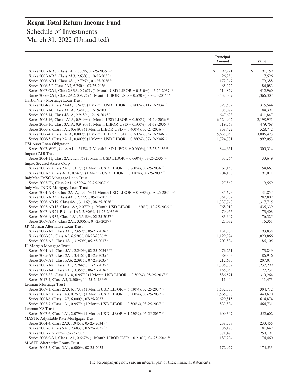|                                                                                             | Principal<br><b>Amount</b> | <b>Value</b> |
|---------------------------------------------------------------------------------------------|----------------------------|--------------|
| Series 2005-AR6, Class B1, 2.800%, 09-25-2035 (1)(a)                                        | \$<br>99,221               | \$<br>91,159 |
| Series 2005-AR5, Class 2A3, 2.638%, 10-25-2035 <sup>(1)</sup>                               | 26,256                     | 17,526       |
| Series 2006-AR1, Class 3A1, 2.796%, 01-25-2036 <sup>(1)</sup>                               | 172,347                    | 179.388      |
| Series 2006-3F, Class 2A3, 5.750%, 03-25-2036                                               | 85,322                     | 84,083       |
| Series 2007-OA1, Class 2A3A, 0.767% (1 Month USD LIBOR + 0.310%), 05-25-2037 <sup>(2)</sup> | 514,829                    | 412,960      |
| Series 2006-OA1, Class 2A2, 0.977% (1 Month LIBOR USD + 0.520%), 08-25-2046 <sup>(2)</sup>  | 3,437,007                  | 1,366,307    |
| HarborView Mortgage Loan Trust                                                              |                            |              |
| Series 2004-8, Class 2A4A, 1.249% (1 Month USD LIBOR + 0.800%), 11-19-2034 <sup>(2)</sup>   | 327,562                    | 315,544      |
| Series 2005-14, Class 3A1A, 2.481%, 12-19-2035 <sup>(1)</sup>                               | 88,072                     | 84,391       |
| Series 2005-14, Class 4A1A, 2.918%, 12-19-2035 <sup>(1)</sup>                               | 647,693                    | 411,847      |
| Series 2005-16, Class 1A1A, 0.949% (1 Month USD LIBOR + 0.500%), 01-19-2036 <sup>(2)</sup>  | 6,524,942                  | 2,198,951    |
| Series 2005-16, Class 3A1A, 0.949% (1 Month LIBOR USD + 0.500%), 01-19-2036 <sup>(2)</sup>  | 719,767                    | 479,768      |
| Series 2006-8, Class 1A1, 0.649% (1 Month LIBOR USD + 0.400%), 07-21-2036 <sup>(2)</sup>    | 858,422                    | 528,742      |
| Series 2006-4, Class 1A1A, 0.809% (1 Month LIBOR USD + 0.360%), 05-19-2046 <sup>(2)</sup>   | 5,638,059                  | 3,006,423    |
| Series 2006-5, Class 2A1A, 0.809% (1 Month USD LIBOR + 0.360%), 07-19-2046 <sup>(2)</sup>   | 1,724,701                  | 992,053      |
| <b>HSI</b> Asset Loan Obligation                                                            |                            |              |
| Series 2007-WF1, Class A1, 0.517% (1 Month USD LIBOR + 0.060%), 12-25-2036 <sup>(2)</sup>   | 844,661                    | 300,314      |
| Impac CMB Trust                                                                             |                            |              |
| Series 2004-11, Class 2A1, 1.117% (1 Month USD LIBOR + 0.660%), 03-25-2035 (2)(a)           | 37,264                     | 33,649       |
| Impac Secured Assets Corp.                                                                  |                            |              |
| Series 2005-2, Class 2A1, 1.317% (1 Month USD LIBOR + 0.860%), 03-25-2036 <sup>(2)</sup>    | 62,150                     | 54,667       |
| Series 2007-3, Class A1A, 0.567% (1 Month USD LIBOR + 0.110%), 09-25-2037 <sup>(2)</sup>    | 204,130                    | 191,011      |
| IndyMac IMSC Mortgage Loan Trust                                                            |                            |              |
| Series 2007-F3, Class 2A1, 6.500%, 09-25-2037 <sup>(a)</sup>                                | 27,862                     | 19,559       |
| IndyMac INDX Mortgage Loan Trust                                                            |                            |              |
| Series 2004-AR5, Class 2A1A, 1.317% (1 Month USD LIBOR + 0.860%), 08-25-2034 (2)(a)         | 35,695                     | 31,857       |
| Series 2005-AR5, Class 4A1, 2.722%, 05-25-2035 <sup>(1)</sup>                               | 351,962                    | 287,802      |
| Series 2006-AR19, Class 4A1, 3.116%, 08-25-2036 <sup>(1)</sup>                              | 1,337,740                  | 1,317,715    |
| Series 2005-AR18, Class 1A2, 2.077% (1 Month USD LIBOR + 1.620%), 10-25-2036 <sup>(2)</sup> | 768,912                    | 435,339      |
| Series 2007-AR21IP, Class 1A2, 2.896%, 11-25-2036 <sup>(1)</sup>                            | 79,965                     | 73,408       |
| Series 2006-AR37, Class 1A1, 3.348%, 02-25-2037 <sup>(1)</sup>                              | 83,647                     | 76,325       |
| Series 2007-AR9, Class 2A1, 3.006%, 04-25-2037 <sup>(1)</sup>                               | 23,032                     | 15,351       |
| J.P. Morgan Alternative Loan Trust                                                          |                            |              |
| Series 2006-A2, Class 3A1, 2.659%, 05-25-2036 <sup>(1)</sup>                                | 131,989                    | 93,838       |
| Series 2006-S3, Class A5, 6.920%, 08-25-2036 <sup>(4)</sup>                                 | 1,129,974                  | 1,020,866    |
| Series 2007-A2, Class 3A1, 3.250%, 05-25-2037 <sup>(1)</sup>                                | 203,834                    | 186,105      |
| JP Morgan Mortgage Trust                                                                    |                            |              |
| Series 2004-A1, Class 5A1, 2.240%, 02-25-2034 <sup>(1)(a)</sup>                             | 76,251                     | 73,849       |
| Series 2005-A2, Class 2A1, 3.446%, 04-25-2035 <sup>(1)</sup>                                | 89,803                     | 86,946       |
| Series 2007-A1, Class 5A6, 2.391%, 07-25-2035 <sup>(1)</sup>                                | 212,635                    | 207,014      |
| Series 2005-A8, Class 1A1, 2.764%, 11-25-2035 <sup>(1)</sup>                                | 1,385,767                  | 1,237,299    |
| Series 2006-A4, Class 5A1, 3.358%, 06-25-2036 <sup>(1)</sup>                                | 155,059                    | 127,231      |
| Series 2007-S3, Class 1A18, 0.957% (1 Month USD LIBOR + 0.500%), 08-25-2037 <sup>(2)</sup>  | 886,571                    | 310,264      |
| Series 2017-4, Class A3, 3.500%, 11-25-2048 <sup>(1)(3)</sup>                               | 11,440                     | 11,473       |
| Lehman Mortgage Trust                                                                       |                            |              |
| Series 2007-1, Class 2A3, 6.173% (1 Month USD LIBOR + 6.630%), 02-25-2037 <sup>(2)</sup>    | 1,532,375                  | 304,712      |
| Series 2007-3, Class 1A3, 0.757% (1 Month USD LIBOR + 0.300%), 03-25-2037 <sup>(2)</sup>    | 1,565,730                  | 440,670      |
| Series 2007-6, Class 1A7, 6.000%, 07-25-2037                                                | 629,815                    | 614,874      |
| Series 2007-7, Class 1A1, 0.957% (1 Month USD LIBOR + 0.500%), 08-25-2037 <sup>(2)</sup>    | 833,834                    | 464,731      |
| Lehman XS Trust                                                                             |                            |              |
| Series 2007-6, Class 1A1, 2.079% (1 Month USD LIBOR + 1.250%), 05-25-2037 <sup>(2)</sup>    | 609,347                    | 552,602      |
| <b>MASTR</b> Adjustable Rate Mortgages Trust                                                |                            |              |
| Series 2004-4, Class 2A3, 1.945%, 05-25-2034 <sup>(1)</sup>                                 | 238,777                    | 233,455      |
| Series 2005-6, Class 5A1, 2.683%, 07-25-2035 <sup>(1)</sup>                                 | 86,170                     | 81,642       |
| Series 2005-7, 2.722%, 09-25-2035                                                           | 371,479                    | 250,191      |
| Series 2006-OA1, Class 1A1, 0.667% (1 Month LIBOR USD + 0.210%), 04-25-2046 <sup>(2)</sup>  | 187,204                    | 174,460      |
| <b>MASTR Alternative Loans Trust</b>                                                        |                            |              |
| Series 2003-5, Class 3A1, 6.000%, 08-25-2033                                                | 172,927                    | 174,533      |
|                                                                                             |                            |              |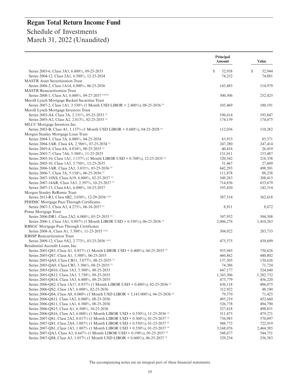|                                                                                                                                                                                          | <b>Principal</b><br><b>Amount</b> | <b>Value</b>       |
|------------------------------------------------------------------------------------------------------------------------------------------------------------------------------------------|-----------------------------------|--------------------|
| Series 2003-6, Class 3A3, 6.000%, 09-25-2033                                                                                                                                             | \$<br>52,938                      | \$<br>52,944       |
| Series 2004-12, Class 2A1, 6.500%, 12-25-2034                                                                                                                                            | 74,232                            | 74,881             |
| <b>MASTR</b> Asset Securitization Trust                                                                                                                                                  |                                   |                    |
| Series 2006-2, Class 1A14, 6.000%, 06-25-2036                                                                                                                                            | 143,485                           | 114,979            |
| <b>MASTR Resecuritization Trust</b>                                                                                                                                                      |                                   |                    |
| Series 2008-1, Class A1, 6.000%, 09-27-2037 (1)(3)(a)                                                                                                                                    | 300,506                           | 252,425            |
| Merrill Lynch Mortgage Backed Securities Trust                                                                                                                                           |                                   |                    |
| Series 2007-2, Class 1A1, 3.530% (1 Month USD LIBOR + 2.400%), 08-25-2036 <sup>(2)</sup>                                                                                                 | 105,469                           | 100,191            |
| Merrill Lynch Mortgage Investors Trust                                                                                                                                                   |                                   |                    |
| Series 2003-A4, Class 3A, 2.331%, 05-25-2033 <sup>(1)</sup>                                                                                                                              | 196,614                           | 193,847            |
| Series 2005-A2, Class A2, 2.813%, 02-25-2035 <sup>(1)</sup>                                                                                                                              | 174,139                           | 174,075            |
| MLCC Mortgage Investors Inc<br>Series 2003-B, Class A1, 1.137% (1 Month USD LIBOR + 0.680%), 04-25-2028 <sup>(2)</sup>                                                                   | 112,036                           | 110,282            |
| Morgan Stanley Mortgage Loan Trust                                                                                                                                                       |                                   |                    |
| Series 2004-3, Class 3A, 6.000%, 04-25-2034                                                                                                                                              | 83,933                            | 85,371             |
| Series 2004-5AR, Class 4A, 2.586%, 07-25-2034 (1)                                                                                                                                        | 247,280                           | 247,414            |
| Series 2005-4, Class 4A, 4.834%, 08-25-2035 <sup>(1)</sup>                                                                                                                               | 40,416                            | 26,419             |
| Series 2005-7, Class 7A6, 5.500%, 11-25-2035                                                                                                                                             | 151,011                           | 153,487            |
| Series 2005-10, Class 1A1, 1.157% (1 Month LIBOR USD + 0.700%), 12-25-2035                                                                                                               | 320,342                           | 218,338            |
| Series 2005-10, Class 1A5, 5.750%, 12-25-2035                                                                                                                                            | 31,467                            | 27,609             |
| Series 2006-3AR, Class 2A3, 3.031%, 03-25-2036 <sup>(1)</sup>                                                                                                                            | 642,293                           | 498,501            |
| Series 2006-7, Class 3A, 5.154%, 06-25-2036 <sup>(1)</sup>                                                                                                                               | 111,878                           | 88,238             |
| Series 2007-10XS, Class A19, 6.000%, 02-25-2037 <sup>(1)</sup>                                                                                                                           | 549,283                           | 308,415            |
| Series 2007-14AR, Class 3A3, 2.597%, 10-25-2037 <sup>(1)</sup>                                                                                                                           | 714,856                           | 653,679            |
| Series 2007-13, Class 6A1, 6.000%, 10-25-2037                                                                                                                                            | 193,420                           | 142,314            |
| Morgan Stanley ReRemic Trust                                                                                                                                                             |                                   |                    |
| Series 2013-R3, Class 6B2, 3.030%, 12-29-2036 (1)(3)                                                                                                                                     | 387,514                           | 362,618            |
| PHHMC Mortgage Pass Through Certificates                                                                                                                                                 |                                   |                    |
| Series 2007-3, Class A3, 4.273%, 06-18-2037 <sup>(1)</sup>                                                                                                                               | 8,911                             | 8,672              |
| Prime Mortgage Trust                                                                                                                                                                     |                                   |                    |
| Series 2006-DR1, Class 2A2, 6.000%, 05-25-2035 (3)                                                                                                                                       | 547,952                           | 504,308            |
| Series 2006-1, Class 3A1, 0.807% (1 Month LIBOR USD + 0.350%), 06-25-2036 <sup>(2)</sup><br>RBSGC Mortgage Pass Through Certificates                                                     | 2,006,276                         | 1,410,263          |
| Series 2008-A, Class A1, 5.500%, 11-25-2035 (1)(3)                                                                                                                                       | 304,922                           | 283,733            |
| <b>RBSSP</b> Resecuritization Trust                                                                                                                                                      |                                   |                    |
| Series 2009-12, Class 9A2, 2.773%, 03-25-2036 <sup>(1)(3)</sup>                                                                                                                          | 475,575                           | 439,699            |
| Residential Accredit Loans, Inc.                                                                                                                                                         |                                   |                    |
| Series 2005-QS5, Class A1, 0.857% (1 Month LIBOR USD + 0.400%), 04-25-2035                                                                                                               | 935,945                           | 750,626            |
| Series 2005-QS7, Class A1, 5.500%, 06-25-2035                                                                                                                                            | 460,862                           | 440,802            |
| Series 2005-QA9, Class CB11, 3.077%, 08-25-2035 <sup>(1)</sup>                                                                                                                           | 137,505                           | 130,626            |
| Series 2005-QA9, Class CB3, 3.386%, 08-25-2035 <sup>(1)</sup>                                                                                                                            | 74,386                            | 71,724             |
| Series 2005-QS10, Class 3A3, 5.500%, 08-25-2035                                                                                                                                          | 647,177                           | 524,640            |
| Series 2005-QS13, Class 2A3, 5.750%, 09-25-2035                                                                                                                                          | 1,343,306                         | 1,282,732          |
| Series 2005-OS14, Class 3A3, 6.000%, 09-25-2035                                                                                                                                          | 473,779                           | 456,220            |
| Series 2006-OS2, Class 1A17, 0.937% (1 Month LIBOR USD + 0.480%), 02-25-2036 <sup>(2)</sup>                                                                                              | 636,118                           | 496,075            |
| Series 2006-QS2, Class 1A7, 6.000%, 02-25-2036                                                                                                                                           | 312,922                           | 48,190             |
| Series 2006-QS4, Class A8, 8.000% (1 Month USD LIBOR + 5,143.000%), 04-25-2036 <sup>(2)</sup>                                                                                            | 79,370                            | 71,425             |
| Series 2006-OS11, Class 1A2, 6.000%, 08-25-2036                                                                                                                                          | 495,219                           | 452,660            |
| Series 2006-QS11, Class 1A1, 6.500%, 08-25-2036                                                                                                                                          | 526,778                           | 494,790            |
| Series 2006-QS15, Class A1, 6.500%, 10-25-2036                                                                                                                                           | 527,618                           | 498,851            |
| Series 2006-QS16, Class A3, 6.000% (1 Month LIBOR USD + 0.550%), 11-25-2036 <sup>(2)</sup><br>Series 2007-QS1, Class 2A2, 0.817% (1 Month LIBOR USD + 0.360%), 01-25-2037 <sup>(2)</sup> | 511,475<br>756,985                | 479,271<br>570,097 |
| Series 2007-QS1, Class 2A4, 1.007% (1 Month LIBOR USD + 0.550%), 01-25-2037 <sup>(2)</sup>                                                                                               | 948,772                           | 722,919            |
| Series 2007-OS1, Class 1A5, 1.007% (1 Month LIBOR USD + 0.550%), 01-25-2037 <sup>(2)</sup>                                                                                               | 3,168,076                         | 2,464,385          |
| Series 2007-QA3, Class A3, 0.647% (1 Month LIBOR USD + 0.190%), 05-25-2037 <sup>(2)</sup>                                                                                                | 548,677                           | 544,751            |
| Series 2007-QS8, Class A3, 1.057% (1 Month USD LIBOR + 0.600%), 06-25-2037 <sup>(2)</sup>                                                                                                | 329,254                           | 256,383            |
|                                                                                                                                                                                          |                                   |                    |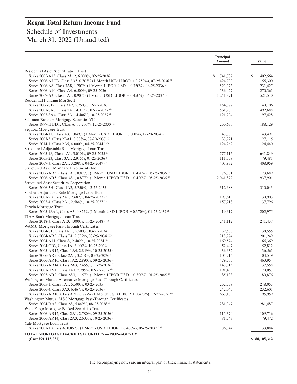|                                                                                             | Principal<br><b>Amount</b> | <b>Value</b> |
|---------------------------------------------------------------------------------------------|----------------------------|--------------|
| Residential Asset Securitization Trust                                                      |                            |              |
| Series 2005-A15, Class 2A12, 6.000%, 02-25-2036                                             | \$<br>741,787              | S<br>402,564 |
| Series 2006-A7CB, Class 2A5, 0.707% (1 Month USD LIBOR + 0.250%), 07-25-2036 <sup>(2)</sup> | 424,700                    | 55,300       |
| Series 2006-A8, Class 3A8, 1.207% (1 Month LIBOR USD + 0.750%), 08-25-2036                  | 523,373                    | 231,427      |
| Series 2006-A10, Class A4, 6.500%, 09-25-2036                                               | 536,427                    | 270,361      |
| Series 2007-A3, Class 1A1, 0.907% (1 Month USD LIBOR + 0.450%), 04-25-2037 <sup>(2)</sup>   | 1,241,871                  | 521,540      |
| Residential Funding Mtg Sec I                                                               |                            |              |
| Series 2006-S12, Class 3A7, 5.750%, 12-25-2036                                              | 154,877                    | 149,106      |
| Series 2007-SA3, Class 2A1, 4.317%, 07-27-2037 <sup>(1)</sup>                               | 561,283                    | 492,688      |
| Series 2007-SA4, Class 3A1, 4.406%, 10-25-2037 <sup>(1)</sup>                               | 121,204                    | 97,428       |
| Salomon Brothers Mortgage Securities VII                                                    |                            |              |
| Series 1997-HUD1, Class A4, 3.200%, 12-25-2030 <sup>(1)(a)</sup>                            | 250,630                    | 188,129      |
| Sequoia Mortgage Trust                                                                      |                            |              |
| Series 2004-11, Class A3, 1.049% (1 Month USD LIBOR + 0.600%), 12-20-2034 <sup>(2)</sup>    | 43,703                     | 43,491       |
| Series 2007-3, Class 2BA1, 3.008%, 07-20-2037 <sup>(1)</sup>                                | 33,221                     | 27,115       |
| Series 2014-1, Class 2A5, 4.000%, 04-25-2044 (1)(3)                                         | 124,269                    | 124,440      |
| Structured Adjustable Rate Mortgage Loan Trust                                              |                            |              |
| Series 2005-18, Class 1A1, 3.010%, 09-25-2035 <sup>(1)</sup>                                | 777,116                    | 641,849      |
| Series 2005-23, Class 3A1, 2.915%, 01-25-2036 <sup>(1)</sup>                                | 111,378                    | 79,481       |
| Series 2007-3, Class 2A1, 3.298%, 04-25-2047 <sup>(1)</sup>                                 | 407,932                    | 408,959      |
| Structured Asset Mortgage Investments Inc                                                   |                            |              |
| Series 2006-AR5, Class 1A1, 0.877% (1 Month USD LIBOR + 0.420%), 05-25-2036 <sup>(2)</sup>  | 76,801                     | 73,689       |
| Series 2006-AR5, Class 3A1, 0.877% (1 Month LIBOR USD + 0.420%), 05-25-2036 <sup>(2)</sup>  | 2,041,879                  | 937,901      |
| <b>Structured Asset Securities Corporation</b>                                              |                            |              |
| Series 2006-3H, Class 1A2, 5.750%, 12-25-2035                                               | 312,688                    | 310,043      |
| Suntrust Adjustable Rate Mortgage Loan Trust                                                |                            |              |
| Series 2007-2, Class 2A1, 2.682%, 04-25-2037 <sup>(1)</sup>                                 | 197,613                    | 139,903      |
| Series 2007-4, Class 2A1, 2.584%, 10-25-2037 <sup>(1)</sup>                                 | 157,218                    | 137,796      |
| Terwin Mortgage Trust                                                                       |                            |              |
| Series 2005-18AL, Class A3, 0.827% (1 Month USD LIBOR + 0.370%), 01-25-2037 <sup>(2)</sup>  | 419,617                    | 202,975      |
| TIAA Bank Mortgage Loan Trust                                                               |                            |              |
| Series 2018-3, Class A13, 4.000%, 11-25-2048 (1)(3)                                         | 241,112                    | 241,437      |
|                                                                                             |                            |              |
| WAMU Mortgage Pass-Through Certificates                                                     |                            |              |
| Series 2004-S1, Class 1A11, 5.500%, 03-25-2034                                              | 39,500                     | 38,555       |
| Series 2004-AR9, Class B1, 2.732%, 08-25-2034 (1)(a)                                        | 218,274                    | 201,249      |
| Series 2004-A11, Class A, 2.402%, 10-25-2034 <sup>(1)</sup>                                 | 169,574                    | 166,369      |
| Series 2004-CB3, Class 1A, 6.000%, 10-25-2034                                               | 52,497                     | 52,812       |
| Series 2005-AR12, Class 1A4, 2.849%, 10-25-2035 <sup>(1)</sup>                              | 36,632                     | 36,561       |
| Series 2006-AR2, Class 2A1, 3.218%, 03-25-2036 <sup>(1)</sup>                               | 104,716                    | 104,549      |
| Series 2006-AR10, Class 1A2, 2.890%, 09-25-2036 <sup>(1)</sup>                              | 479,705                    | 463,954      |
| Series 2006-AR14, Class 2A3, 2.455%, 11-25-2036 <sup>(1)</sup>                              | 143,315                    | 137,558      |
| Series 2007-HY1, Class 1A1, 2.795%, 02-25-2037 <sup>(1)</sup>                               | 191,439                    | 179,057      |
| Series 2005-AR2, Class 2A3, 1.157% (1 Month LIBOR USD + 0.700%), 01-25-2045 <sup>(2)</sup>  | 85,133                     | 80,876       |
| Washington Mutual Alternative Mortgage Pass-Through Certificates                            |                            |              |
| Series 2005-1, Class 1A1, 5.500%, 03-25-2035                                                | 252,778                    | 248,053      |
| Series 2006-4, Class 3A3, 6.467%, 05-25-2036 <sup>(4)</sup>                                 | 242,045                    | 232,601      |
| Series 2006-AR10, Class A2B, 0.877% (1 Month USD LIBOR + 0.420%), 12-25-2036 <sup>(2)</sup> | 663,169                    | 95,959       |
| Washington Mutual MSC Mortgage Pass-Through Certificates                                    |                            |              |
| Series 2004-RA3, Class 2A, 5.849%, 08-25-2038 <sup>(1)</sup>                                | 281,347                    | 281,487      |
| Wells Fargo Mortgage Backed Securities Trust                                                |                            |              |
| Series 2006-AR12, Class 2A1, 2.780%, 09-25-2036 <sup>(1)</sup>                              | 115,370                    | 109,716      |
| Series 2006-AR14, Class 2A3, 2.603%, 10-25-2036 <sup>(1)</sup>                              | 81,743                     | 79,472       |
| Yale Mortgage Loan Trust                                                                    |                            |              |
| Series 2007-1, Class A, 0.857% (1 Month USD LIBOR + 0.400%), 06-25-2037 <sup>(2)(3)</sup>   | 86,344                     | 33,884       |
| TOTAL MORTGAGE BACKED SECURITIES — NON-AGENCY                                               |                            |              |
| (Cost \$91,113,231)                                                                         |                            | \$88,105,312 |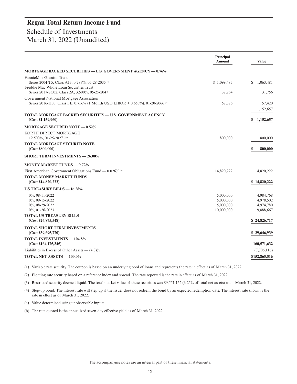|                                                                                                                                    | Principal<br>Amount                               | <b>Value</b>                                     |
|------------------------------------------------------------------------------------------------------------------------------------|---------------------------------------------------|--------------------------------------------------|
| MORTGAGE BACKED SECURITIES — U.S. GOVERNMENT AGENCY — 0.76%                                                                        |                                                   |                                                  |
| FannieMae Grantor Trust<br>Series 2004-T5, Class A13, 0.787%, 05-28-2035 <sup>(1)</sup><br>Freddie Mac Whole Loan Securities Trust | \$1,099,487                                       | S<br>1,063,481                                   |
| Series 2017-SC02, Class 2A, 3.500%, 05-25-2047                                                                                     | 32,264                                            | 31,756                                           |
| Government National Mortgage Association<br>Series 2016-H03, Class FB, 0.756% (1 Month USD LIBOR + 0.650%), 01-20-2066             | 57,376                                            | 57,420<br>1,152,657                              |
| TOTAL MORTGAGE BACKED SECURITIES — U.S. GOVERNMENT AGENCY<br>(Cost \$1,159,960)                                                    |                                                   | 1,152,657<br>S.                                  |
| <b>MORTGAGE SECURED NOTE - 0.52%</b>                                                                                               |                                                   |                                                  |
| KORTH DIRECT MORTGAGE<br>12.500%, 01-25-2027 (3)(a)                                                                                | 800,000                                           | 800,000                                          |
| <b>TOTAL MORTGAGE SECURED NOTE</b><br>(Cost \$800,000)                                                                             |                                                   | \$<br>800,000                                    |
| <b>SHORT TERM INVESTMENTS - 26.00%</b>                                                                                             |                                                   |                                                  |
| <b>MONEY MARKET FUNDS - 9.72%</b>                                                                                                  |                                                   |                                                  |
| First American Government Obligations Fund $-$ 0.026% (b)                                                                          | 14,820,222                                        | 14,820,222                                       |
| <b>TOTAL MONEY MARKET FUNDS</b><br>(Cost \$14,820,222)                                                                             |                                                   | \$14,820,222                                     |
| US TREASURY BILLS $-$ 16.28%                                                                                                       |                                                   |                                                  |
| $0\%$ , 08-11-2022<br>$0\%$ , 09-15-2022<br>$0\%$ , 08-29-2022<br>$0\%$ , 01-26-2023                                               | 5,000,000<br>5,000,000<br>5,000,000<br>10,000,000 | 4,984,768<br>4,978,502<br>4,974,780<br>9,888,667 |
| <b>TOTAL US TREASURY BILLS</b><br>(Cost \$24,875,548)                                                                              |                                                   | \$24,826,717                                     |
| <b>TOTAL SHORT TERM INVESTMENTS</b><br>(Cost \$39,695,770)                                                                         |                                                   | \$39,646,939                                     |
| <b>TOTAL INVESTMENTS - 104.8%</b><br>(Cost \$164, 175, 345)                                                                        |                                                   | 160,571,632                                      |
| Liabilities in Excess of Other Assets $- (4.8)\%$                                                                                  |                                                   | (7,706,116)                                      |
| TOTAL NET ASSETS - 100.0%                                                                                                          |                                                   | \$152,865,516                                    |

(1) Variable rate security. The coupon is based on an underlying pool of loans and represents the rate in effect as of March 31, 2022.

(2) Floating rate security based on a reference index and spread. The rate reported is the rate in effect as of March 31, 2022.

(3) Restricted security deemed liquid. The total market value of these securities was \$9,551,152 (6.25% of total net assets) as of March 31, 2022.

(4) Step-up bond. The interest rate will step up if the issuer does not redeem the bond by an expected redemption date. The interest rate shown is the rate in effect as of March 31, 2022.

(a) Value determined using unobservable inputs.

(b) The rate quoted is the annualized seven-day effective yield as of March 31, 2022.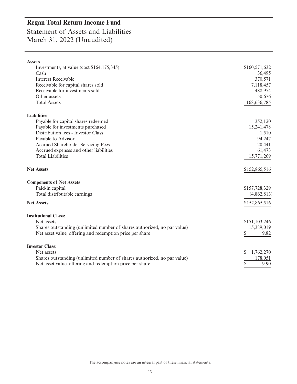# Statement of Assets and Liabilities March 31, 2022 (Unaudited)

| <b>Assets</b>                                                            |                |
|--------------------------------------------------------------------------|----------------|
| Investments, at value (cost \$164,175,345)                               | \$160,571,632  |
| Cash                                                                     | 36,495         |
| <b>Interest Receivable</b>                                               | 370,571        |
| Receivable for capital shares sold                                       | 7,118,457      |
| Receivable for investments sold                                          | 488,954        |
| Other assets                                                             | 50,676         |
| <b>Total Assets</b>                                                      | 168,636,785    |
| <b>Liabilities</b>                                                       |                |
| Payable for capital shares redeemed                                      | 352,120        |
| Payable for investments purchased                                        | 15,241,478     |
| Distribution fees - Investor Class                                       | 1,510          |
| Payable to Advisor                                                       | 94,247         |
| Accrued Shareholder Servicing Fees                                       | 20,441         |
| Accrued expenses and other liabilities                                   | 61,473         |
| <b>Total Liabilities</b>                                                 | 15,771,269     |
| <b>Net Assets</b>                                                        | \$152,865,516  |
| <b>Components of Net Assets</b>                                          |                |
| Paid-in capital                                                          | \$157,728,329  |
| Total distributable earnings                                             | (4,862,813)    |
| <b>Net Assets</b>                                                        | \$152,865,516  |
| <b>Institutional Class:</b>                                              |                |
| Net assets                                                               | \$151,103,246  |
| Shares outstanding (unlimited number of shares authorized, no par value) | 15,389,019     |
| Net asset value, offering and redemption price per share                 | \$<br>9.82     |
| <b>Investor Class:</b>                                                   |                |
| Net assets                                                               | 1,762,270<br>S |
| Shares outstanding (unlimited number of shares authorized, no par value) | 178,051        |
| Net asset value, offering and redemption price per share                 | \$<br>9.90     |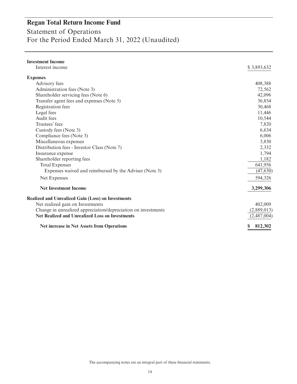Statement of Operations For the Period Ended March 31, 2022 (Unaudited)

| <b>Investment Income</b>                                      |              |
|---------------------------------------------------------------|--------------|
| Interest income                                               | \$3,893,632  |
| <b>Expenses</b>                                               |              |
| Advisory fees                                                 | 408,388      |
| Administration fees (Note 3)                                  | 72,562       |
| Shareholder servicing fees (Note 6)                           | 42,096       |
| Transfer agent fees and expenses (Note 3)                     | 36,854       |
| Registration fees                                             | 30,468       |
| Legal fees                                                    | 11,446       |
| Audit fees                                                    | 10,544       |
| Trustees' fees                                                | 7,820        |
| Custody fees (Note 3)                                         | 6,634        |
| Compliance fees (Note 3)                                      | 6,006        |
| Miscellaneous expenses                                        | 3,830        |
| Distribution fees - Investor Class (Note 7)                   | 2,332        |
| Insurance expense                                             | 1,794        |
| Shareholder reporting fees                                    | 1,182        |
| <b>Total Expenses</b>                                         | 641,956      |
| Expenses waived and reimbursed by the Adviser (Note 3)        | (47, 630)    |
| Net Expenses                                                  | 594,326      |
| <b>Net Investment Income</b>                                  | 3,299,306    |
| <b>Realized and Unrealized Gain (Loss) on Investments</b>     |              |
| Net realized gain on Investments                              | 402,009      |
| Change in unrealized appreciation/depreciation on investments | (2,889,013)  |
| <b>Net Realized and Unrealized Loss on Investments</b>        | (2,487,004)  |
| <b>Net increase in Net Assets from Operations</b>             | 812,302<br>S |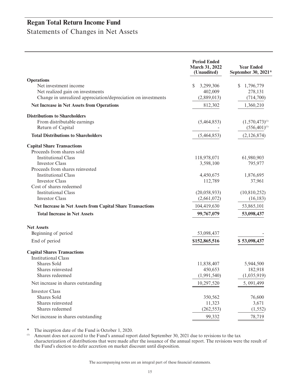Statements of Changes in Net Assets

|                                                                   | <b>Period Ended</b><br>March 31, 2022<br>(Unaudited) | <b>Year Ended</b><br>September 30, 2021* |
|-------------------------------------------------------------------|------------------------------------------------------|------------------------------------------|
| <b>Operations</b>                                                 |                                                      |                                          |
| Net investment income                                             | 3,299,306<br>S                                       | 1,796,779<br>S.                          |
| Net realized gain on investments                                  | 402,009                                              | 278,131                                  |
| Change in unrealized appreciation/depreciation on investments     | (2,889,013)                                          | (714,700)                                |
| <b>Net Increase in Net Assets from Operations</b>                 | 812,302                                              | 1,360,210                                |
| <b>Distributions to Shareholders</b>                              |                                                      |                                          |
| From distributable earnings                                       | (5,464,853)                                          | $(1,570,473)^{(1)}$                      |
| Return of Capital                                                 |                                                      | $(556, 401)^{(1)}$                       |
| <b>Total Distributions to Shareholders</b>                        | (5,464,853)                                          | (2,126,874)                              |
| <b>Capital Share Transactions</b>                                 |                                                      |                                          |
| Proceeds from shares sold                                         |                                                      |                                          |
| <b>Institutional Class</b>                                        | 118,978,071                                          | 61,980,903                               |
| <b>Investor Class</b>                                             | 3,598,100                                            | 795,977                                  |
| Proceeds from shares reinvested                                   |                                                      |                                          |
| <b>Institutional Class</b>                                        | 4,450,675                                            | 1,876,695                                |
| <b>Investor Class</b>                                             | 112,789                                              | 37,961                                   |
| Cost of shares redeemed                                           |                                                      |                                          |
| <b>Institutional Class</b>                                        | (20,058,933)                                         | (10,810,252)                             |
| <b>Investor Class</b>                                             | (2,661,072)                                          | (16, 183)                                |
| <b>Net Increase in Net Assets from Capital Share Transactions</b> | 104,419,630                                          | 53,865,101                               |
| <b>Total Increase in Net Assets</b>                               | 99,767,079                                           | 53,098,437                               |
| <b>Net Assets</b>                                                 |                                                      |                                          |
| Beginning of period                                               | 53,098,437                                           |                                          |
| End of period                                                     | \$152,865,516                                        | \$53,098,437                             |
| <b>Capital Shares Transactions</b><br><b>Institutional Class</b>  |                                                      |                                          |
| <b>Shares Sold</b>                                                | 11,838,407                                           | 5,944,500                                |
| Shares reinvested                                                 | 450,653                                              | 182,918                                  |
| Shares redeemed                                                   | (1,991,540)                                          | (1,035,919)                              |
| Net increase in shares outstanding                                | 10,297,520                                           | 5, 091, 499                              |
|                                                                   |                                                      |                                          |
| <b>Investor Class</b>                                             |                                                      |                                          |
| Shares Sold<br>Shares reinvested                                  | 350,562                                              | 76,600                                   |
| Shares redeemed                                                   | 11,323                                               | 3,671                                    |
|                                                                   | (262, 553)                                           | (1, 552)                                 |
| Net increase in shares outstanding                                | 99,332                                               | 78,719                                   |

\* The inception date of the Fund is October 1, 2020.<br>(i) Amount does not accord to the Fund's annual repo

Amount does not accord to the Fund's annual report dated September 30, 2021 due to revisions to the tax characterization of distributions that were made after the issuance of the annual report. The revisions were the result of the Fund's election to defer accretion on market discount until disposition.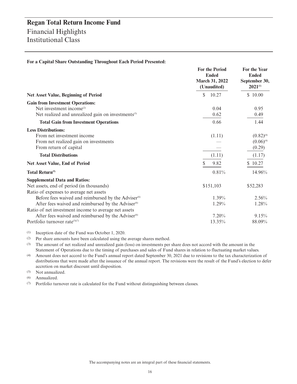|  |  | For a Capital Share Outstanding Throughout Each Period Presented: |  |  |
|--|--|-------------------------------------------------------------------|--|--|
|  |  |                                                                   |  |  |

|                                                                                                                                                                                               | <b>For the Period</b><br><b>Ended</b><br>March 31, 2022<br>(Unaudited) | For the Year<br><b>Ended</b><br>September 30,<br>$2021^{(1)}$ |
|-----------------------------------------------------------------------------------------------------------------------------------------------------------------------------------------------|------------------------------------------------------------------------|---------------------------------------------------------------|
| <b>Net Asset Value, Beginning of Period</b>                                                                                                                                                   | \$<br>10.27                                                            | \$10.00                                                       |
| <b>Gain from Investment Operations:</b><br>Net investment income <sup>(2)</sup><br>Net realized and unrealized gain on investments <sup>(3)</sup>                                             | 0.04<br>0.62                                                           | 0.95<br>0.49                                                  |
| <b>Total Gain from Investment Operations</b>                                                                                                                                                  | 0.66                                                                   | 1.44                                                          |
| <b>Less Distributions:</b><br>From net investment income<br>From net realized gain on investments<br>From return of capital                                                                   | (1.11)                                                                 | $(0.82)^{(4)}$<br>$(0.06)^{(4)}$<br>(0.29)                    |
| <b>Total Distributions</b>                                                                                                                                                                    | (1.11)                                                                 | (1.17)                                                        |
| Net Asset Value, End of Period                                                                                                                                                                | 9.82                                                                   | \$10.27                                                       |
| Total Return <sup>(5)</sup>                                                                                                                                                                   | 0.81%                                                                  | 14.96%                                                        |
| <b>Supplemental Data and Ratios:</b><br>Net assets, end of period (in thousands)<br>Ratio of expenses to average net assets<br>Before fees waived and reimbursed by the Adviser <sup>60</sup> | \$151,103<br>$1.39\%$                                                  | \$52,283<br>2.56%                                             |
| After fees waived and reimbursed by the Adviser <sup>60</sup>                                                                                                                                 | $1.29\%$                                                               | 1.28%                                                         |
| Ratio of net investment income to average net assets<br>After fees waived and reimbursed by the Adviser <sup>60</sup><br>Portfolio turnover rate(5)(7)                                        | 7.20%<br>13.35%                                                        | 9.15%<br>88.09%                                               |

(1) Inception date of the Fund was October 1, 2020.

(2) Per share amounts have been calculated using the average shares method.

(3) The amount of net realized and unrealized gain (loss) on investments per share does not accord with the amount in the Statement of Operations due to the timing of purchases and sales of Fund shares in relation to fluctuating market values.

- (4) Amount does not accord to the Fund's annual report dated September 30, 2021 due to revisions to the tax characterization of distributions that were made after the issuance of the annual report. The revisions were the result of the Fund's election to defer accretion on market discount until disposition.
- (5) Not annualized.

(6) Annualized.

(7) Portfolio turnover rate is calculated for the Fund without distinguishing between classes.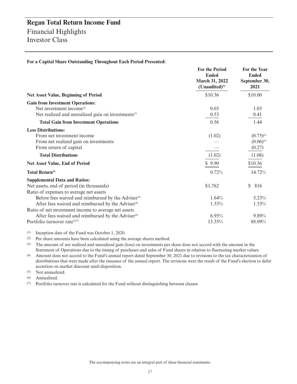|                                                                | <b>For the Period</b><br><b>Ended</b><br><b>March 31, 2022</b><br>$(Unaudited)^{(1)}$ | <b>For the Year</b><br><b>Ended</b><br>September 30,<br>2021 |
|----------------------------------------------------------------|---------------------------------------------------------------------------------------|--------------------------------------------------------------|
| <b>Net Asset Value, Beginning of Period</b>                    | \$10.36                                                                               | \$10.00                                                      |
| <b>Gain from Investment Operations:</b>                        |                                                                                       |                                                              |
| Net investment income $^{(2)}$                                 | 0.03                                                                                  | 1.03                                                         |
| Net realized and unrealized gain on investments <sup>(3)</sup> | 0.53                                                                                  | 0.41                                                         |
| <b>Total Gain from Investment Operations</b>                   | 0.56                                                                                  | 1.44                                                         |
| <b>Less Distributions:</b>                                     |                                                                                       |                                                              |
| From net investment income                                     | (1.02)                                                                                | $(0.75)^{(4)}$                                               |
| From net realized gain on investments                          |                                                                                       | $(0.06)^{(4)}$                                               |
| From return of capital                                         |                                                                                       | (0.27)                                                       |
| <b>Total Distributions</b>                                     | (1.02)                                                                                | (1.08)                                                       |
| <b>Net Asset Value, End of Period</b>                          | \$9.90                                                                                | \$10.36                                                      |
| <b>Total Return</b> <sup>(5)</sup>                             | 0.72%                                                                                 | 14.72%                                                       |
| <b>Supplemental Data and Ratios:</b>                           |                                                                                       |                                                              |
| Net assets, end of period (in thousands)                       | \$1,762                                                                               | \$<br>816                                                    |
| Ratio of expenses to average net assets                        |                                                                                       |                                                              |
| Before fees waived and reimbursed by the Adviser <sup>60</sup> | 1.64%                                                                                 | 5.23%                                                        |
| After fees waived and reimbursed by the Adviser <sup>60</sup>  | 1.53%                                                                                 | 1.53%                                                        |
| Ratio of net investment income to average net assets           |                                                                                       |                                                              |
| After fees waived and reimbursed by the Adviser <sup>60</sup>  | 6.95%                                                                                 | 9.89%                                                        |
| Portfolio turnover rate $(5)(7)$                               | 13.35%                                                                                | 88.09%                                                       |

**For a Capital Share Outstanding Throughout Each Period Presented:**

(1) Inception date of the Fund was October 1, 2020.

(2) Per share amounts have been calculated using the average shares method.

(3) The amount of net realized and unrealized gain (loss) on investments per share does not accord with the amount in the Statement of Operations due to the timing of purchases and sales of Fund shares in relation to fluctuating market values.

- (4) Amount does not accord to the Fund's annual report dated September 30, 2021 due to revisions to the tax characterization of distributions that were made after the issuance of the annual report. The revisions were the result of the Fund's election to defer accretion on market discount until disposition.
- (5) Not annualized.

(6) Annualized.

(7) Portfolio turnover rate is calculated for the Fund without distinguishing between classes.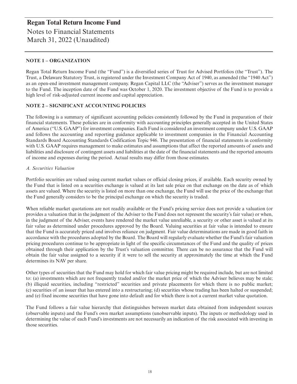### **Regan Total Return Income Fund** Notes to Financial Statements March 31, 2022 (Unaudited)

#### **NOTE 1 – ORGANIZATION**

Regan Total Return Income Fund (the "Fund") is a diversified series of Trust for Advised Portfolios (the "Trust"). The Trust, a Delaware Statutory Trust, is registered under the Investment Company Act of 1940, as amended (the "1940 Act") as an open-end investment management company. Regan Capital LLC (the "Adviser") serves as the investment manager to the Fund. The inception date of the Fund was October 1, 2020. The investment objective of the Fund is to provide a high level of risk-adjusted current income and capital appreciation.

#### **NOTE 2 – SIGNIFICANT ACCOUNTING POLICIES**

The following is a summary of significant accounting policies consistently followed by the Fund in preparation of their financial statements. These policies are in conformity with accounting principles generally accepted in the United States of America ("U.S. GAAP") for investment companies. Each Fund is considered an investment company under U.S. GAAP and follows the accounting and reporting guidance applicable to investment companies in the Financial Accounting Standards Board Accounting Standards Codification Topic 946. The presentation of financial statements in conformity with U.S. GAAP requires management to make estimates and assumptions that affect the reported amounts of assets and liabilities and disclosure of contingent assets and liabilities at the date of the financial statements and the reported amounts of income and expenses during the period. Actual results may differ from those estimates.

#### *A. Securities Valuation*

Portfolio securities are valued using current market values or official closing prices, if available. Each security owned by the Fund that is listed on a securities exchange is valued at its last sale price on that exchange on the date as of which assets are valued. Where the security is listed on more than one exchange, the Fund will use the price of the exchange that the Fund generally considers to be the principal exchange on which the security is traded.

When reliable market quotations are not readily available or the Fund's pricing service does not provide a valuation (or provides a valuation that in the judgment of the Adviser to the Fund does not represent the security's fair value) or when, in the judgment of the Adviser, events have rendered the market value unreliable, a security or other asset is valued at its fair value as determined under procedures approved by the Board. Valuing securities at fair value is intended to ensure that the Fund is accurately priced and involves reliance on judgment. Fair value determinations are made in good faith in accordance with the procedures adopted by the Board. The Board will regularly evaluate whether the Fund's fair valuation pricing procedures continue to be appropriate in light of the specific circumstances of the Fund and the quality of prices obtained through their application by the Trust's valuation committee. There can be no assurance that the Fund will obtain the fair value assigned to a security if it were to sell the security at approximately the time at which the Fund determines its NAV per share.

Other types of securities that the Fund may hold for which fair value pricing might be required include, but are not limited to: (a) investments which are not frequently traded and/or the market price of which the Adviser believes may be stale; (b) illiquid securities, including "restricted" securities and private placements for which there is no public market; (c) securities of an issuer that has entered into a restructuring; (d) securities whose trading has been halted or suspended; and (e) fixed income securities that have gone into default and for which there is not a current market value quotation.

The Fund follows a fair value hierarchy that distinguishes between market data obtained from independent sources (observable inputs) and the Fund's own market assumptions (unobservable inputs). The inputs or methodology used in determining the value of each Fund's investments are not necessarily an indication of the risk associated with investing in those securities.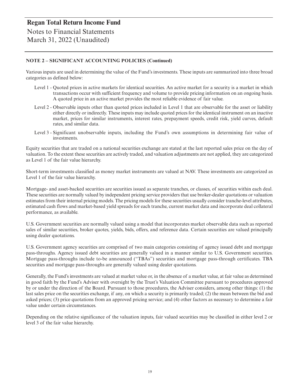Notes to Financial Statements March 31, 2022 (Unaudited)

#### **NOTE 2 – SIGNIFICANT ACCOUNTING POLICIES (Continued)**

Various inputs are used in determining the value of the Fund's investments. These inputs are summarized into three broad categories as defined below:

- Level 1 Quoted prices in active markets for identical securities. An active market for a security is a market in which transactions occur with sufficient frequency and volume to provide pricing information on an ongoing basis. A quoted price in an active market provides the most reliable evidence of fair value.
- Level 2 Observable inputs other than quoted prices included in Level 1 that are observable for the asset or liability either directly or indirectly. These inputs may include quoted prices for the identical instrument on an inactive market, prices for similar instruments, interest rates, prepayment speeds, credit risk, yield curves, default rates, and similar data.
- Level 3 Significant unobservable inputs, including the Fund's own assumptions in determining fair value of investments.

Equity securities that are traded on a national securities exchange are stated at the last reported sales price on the day of valuation. To the extent these securities are actively traded, and valuation adjustments are not applied, they are categorized as Level 1 of the fair value hierarchy.

Short-term investments classified as money market instruments are valued at NAV. These investments are categorized as Level 1 of the fair value hierarchy.

Mortgage- and asset-backed securities are securities issued as separate tranches, or classes, of securities within each deal. These securities are normally valued by independent pricing service providers that use broker-dealer quotations or valuation estimates from their internal pricing models. The pricing models for these securities usually consider tranche-level attributes, estimated cash flows and market-based yield spreads for each tranche, current market data and incorporate deal collateral performance, as available.

U.S. Government securities are normally valued using a model that incorporates market observable data such as reported sales of similar securities, broker quotes, yields, bids, offers, and reference data. Certain securities are valued principally using dealer quotations.

U.S. Government agency securities are comprised of two main categories consisting of agency issued debt and mortgage pass-throughs. Agency issued debt securities are generally valued in a manner similar to U.S. Government securities. Mortgage pass-throughs include to-be announced ("TBAs") securities and mortgage pass-through certificates. TBA securities and mortgage pass-throughs are generally valued using dealer quotations.

Generally, the Fund's investments are valued at market value or, in the absence of a market value, at fair value as determined in good faith by the Fund's Adviser with oversight by the Trust's Valuation Committee pursuant to procedures approved by or under the direction of the Board. Pursuant to those procedures, the Adviser considers, among other things: (1) the last sales price on the securities exchange, if any, on which a security is primarily traded; (2) the mean between the bid and asked prices; (3) price quotations from an approved pricing service; and (4) other factors as necessary to determine a fair value under certain circumstances.

Depending on the relative significance of the valuation inputs, fair valued securities may be classified in either level 2 or level 3 of the fair value hierarchy.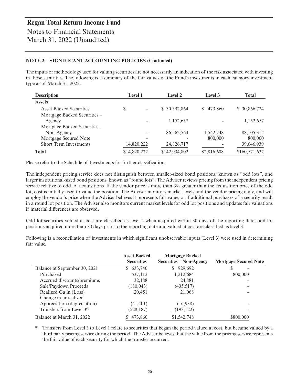Notes to Financial Statements March 31, 2022 (Unaudited)

#### **NOTE 2 – SIGNIFICANT ACCOUNTING POLICIES (Continued)**

The inputs or methodology used for valuing securities are not necessarily an indication of the risk associated with investing in those securities. The following is a summary of the fair values of the Fund's investments in each category investment type as of March 31, 2022:

| <b>Description</b>                     | <b>Level 1</b>                 | Level 2       | Level 3      | <b>Total</b>  |
|----------------------------------------|--------------------------------|---------------|--------------|---------------|
| <b>Assets</b>                          |                                |               |              |               |
| <b>Asset Backed Securities</b>         | \$<br>$\overline{\phantom{a}}$ | \$ 30,392,864 | 473,860<br>S | \$ 30,866,724 |
| Mortgage Backed Securities –<br>Agency |                                | 1,152,657     |              | 1,152,657     |
| Mortgage Backed Securities –           |                                |               |              |               |
| Non-Agency                             |                                | 86,562,564    | 1,542,748    | 88, 105, 312  |
| Mortgage Secured Note                  |                                |               | 800,000      | 800,000       |
| <b>Short Term Investments</b>          | 14,820,222                     | 24,826,717    |              | 39,646,939    |
| <b>Total</b>                           | \$14,820,222                   | \$142,934,802 | \$2,816,608  | \$160,571,632 |

Please refer to the Schedule of Investments for further classification.

The independent pricing service does not distinguish between smaller-sized bond positions, known as "odd lots", and larger institutional-sized bond positions, known as "round lots". The Adviser reviews pricing from the independent pricing service relative to odd lot acquisitions. If the vendor price is more than 3% greater than the acquisition price of the odd lot, cost is initially used to value the position. The Adviser monitors market levels and the vendor pricing daily, and will employ the vendor's price when the Adviser believes it represents fair value, or if additional purchases of a security result in a round lot position. The Adviser also monitors current market levels for odd lot positions and updates fair valuations if material differences are observed.

Odd lot securities valued at cost are classified as level 2 when acquired within 30 days of the reporting date; odd lot positions acquired more than 30 days prior to the reporting date and valued at cost are classified as level 3.

|                                       | <b>Asset Backed</b><br><b>Securities</b> | <b>Mortgage Backed</b><br><b>Securities – Non-Agency</b> | <b>Mortgage Secured Note</b> |
|---------------------------------------|------------------------------------------|----------------------------------------------------------|------------------------------|
| Balance at September 30, 2021         | \$633,740                                | \$929,692                                                | S                            |
| Purchased                             | 537,112                                  | 1,212,684                                                | 800,000                      |
| Accrued discounts/premiums            | 32,188                                   | 24,881                                                   |                              |
| Sale/Paydown Proceeds                 | (180, 043)                               | (435, 517)                                               |                              |
| Realized Ga in (Loss)                 | 20.451                                   | 21,068                                                   |                              |
| Change in unrealized                  |                                          |                                                          |                              |
| Appreciation (depreciation)           | (41, 401)                                | (16,938)                                                 |                              |
| Transfers from Level 3 <sup>(1)</sup> | (528, 187)                               | (193, 122)                                               |                              |
| Balance at March 31, 2022             | 473,860                                  | \$1,542,748                                              | \$800,000                    |

Following is a reconciliation of investments in which significant unobservable inputs (Level 3) were used in determining fair value.

(1) Transfers from Level 3 to Level 1 relate to securities that began the period valued at cost, but became valued by a third party pricing service during the period. The Adviser believes that the value from the pricing service represents the fair value of each security for which the transfer occurred.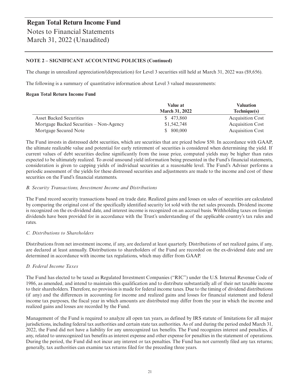#### **NOTE 2 – SIGNIFICANT ACCOUNTING POLICIES (Continued)**

The change in unrealized appreciation/(depreciation) for Level 3 securities still held at March 31, 2022 was (\$9,656).

The following is a summary of quantitative information about Level 3 valued measurements:

#### **Regan Total Return Income Fund**

|                                         | Value at              | <b>Valuation</b>        |
|-----------------------------------------|-----------------------|-------------------------|
|                                         | <b>March 31, 2022</b> | Technique(s)            |
| <b>Asset Backed Securities</b>          | \$473,860             | <b>Acquisition Cost</b> |
| Mortgage Backed Securities – Non-Agency | \$1,542,748           | <b>Acquisition Cost</b> |
| Mortgage Secured Note                   | 800,000               | <b>Acquisition Cost</b> |

The Fund invests in distressed debt securities, which are securities that are priced below \$50. In accordance with GAAP, the ultimate realizable value and potential for early retirement of securities is considered when determining the yield. If current values of debt securities decline significantly from the issue price, computed yields may be higher than rates expected to be ultimately realized. To avoid unsound yield information being presented in the Fund's financial statements, consideration is given to capping yields of individual securities at a reasonable level. The Fund's Adviser performs a periodic assessment of the yields for these distressed securities and adjustments are made to the income and cost of these securities on the Fund's financial statements.

#### *B. Security Transactions, Investment Income and Distributions*

The Fund record security transactions based on trade date. Realized gains and losses on sales of securities are calculated by comparing the original cost of the specifically identified security lot sold with the net sales proceeds. Dividend income is recognized on the ex-dividend date, and interest income is recognized on an accrual basis. Withholding taxes on foreign dividends have been provided for in accordance with the Trust's understanding of the applicable country's tax rules and rates.

#### *C. Distributions to Shareholders*

Distributions from net investment income, if any, are declared at least quarterly. Distributions of net realized gains, if any, are declared at least annually. Distributions to shareholders of the Fund are recorded on the ex-dividend date and are determined in accordance with income tax regulations, which may differ from GAAP.

#### *D. Federal Income Taxes*

The Fund has elected to be taxed as Regulated Investment Companies ("RIC") under the U.S. Internal Revenue Code of 1986, as amended, and intend to maintain this qualification and to distribute substantially all of their net taxable income to their shareholders. Therefore, no provision is made for federal income taxes. Due to the timing of dividend distributions (if any) and the differences in accounting for income and realized gains and losses for financial statement and federal income tax purposes, the fiscal year in which amounts are distributed may differ from the year in which the income and realized gains and losses are recorded by the Fund.

Management of the Fund is required to analyze all open tax years, as defined by IRS statute of limitations for all major jurisdictions, including federal tax authorities and certain state tax authorities. As of and during the period ended March 31, 2022, the Fund did not have a liability for any unrecognized tax benefits. The Fund recognizes interest and penalties, if any, related to unrecognized tax benefits as interest expense and other expense for penalties in the statement of operations. During the period, the Fund did not incur any interest or tax penalties. The Fund has not currently filed any tax returns; generally, tax authorities can examine tax returns filed for the preceding three years.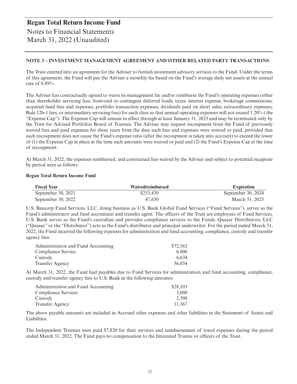### **Regan Total Return Income Fund** Notes to Financial Statements March 31, 2022 (Unaudited)

#### **NOTE 3 – INVESTMENT MANAGEMENT AGREEMENT AND OTHER RELATED PARTY TRANSACTIONS**

The Trust entered into an agreement for the Adviser to furnish investment advisory services to the Fund. Under the terms of this agreement, the Fund will pay the Adviser a monthly fee based on the Fund's average daily net assets at the annual rate of 0.89%.

The Adviser has contractually agreed to waive its management fee and/or reimburse the Fund's operating expenses (other than shareholder servicing fees, front-end or contingent deferred loads, taxes, interest expense, brokerage commissions, acquired fund fees and expenses, portfolio transaction expenses, dividends paid on short sales, extraordinary expenses, Rule 12b-1 fees, or intermediary servicing fees) for each class so that annual operating expenses will not exceed 1.20% ( the "Expense Cap"). The Expense Cap will remain in effect through at least January 31, 2023 and may be terminated only by the Trust for Advised Portfolios Board of Trustees. The Adviser may request recoupment from the Fund of previously waived fees and paid expenses for three years from the date such fees and expenses were waived or paid, provided that such recoupment does not cause the Fund's expense ratio (after the recoupment is taken into account) to exceed the lower of (1) the Expense Cap in place at the time such amounts were waived or paid and (2) the Fund's Expense Cap at the time of recoupment.

At March 31, 2022, the expenses reimbursed, and contractual fees waived by the Adviser and subject to potential recapture by period were as follows:

#### **Regan Total Return Income Fund**

| <b>Fiscal Year</b> | Waived/reimbursed | <b>Expiration</b>  |
|--------------------|-------------------|--------------------|
| September 30, 2021 | \$253.439         | September 30, 2024 |
| September 30, 2022 | 47.630            | March 31, 2025     |

U.S. Bancorp Fund Services, LLC, doing business as U.S. Bank Global Fund Services ("Fund Services"), serves as the Fund's administrator and fund accountant and transfer agent. The officers of the Trust are employees of Fund Services. U.S. Bank serves as the Fund's custodian and provides compliance services to the Funds. Quasar Distributors, LLC ("Quasar" or the "Distributor") acts as the Fund's distributor and principal underwriter. For the period ended March 31, 2022, the Fund incurred the following expenses for administration and fund accounting, compliance, custody and transfer agency fees:

| Administration and Fund Accounting | \$72.562 |
|------------------------------------|----------|
| Compliance Service                 | 6.006    |
| Custody                            | 6.634    |
| <b>Transfer Agency</b>             | 36.854   |

At March 31, 2022, the Fund had payables due to Fund Services for administration and fund accounting, compliance, custody and transfer agency fees to U.S. Bank in the following amounts:

| Administration and Fund Accounting | \$28,103 |
|------------------------------------|----------|
| Compliance Services                | 3.008    |
| Custody                            | 2.398    |
| <b>Transfer Agency</b>             | 11.367   |

The above payable amounts are included in Accrued other expenses and other liabilities in the Statement of Assets and Liabilities.

The Independent Trustees were paid \$7,820 for their services and reimbursement of travel expenses during the period ended March 31, 2022. The Fund pays no compensation to the Interested Trustee or officers of the Trust.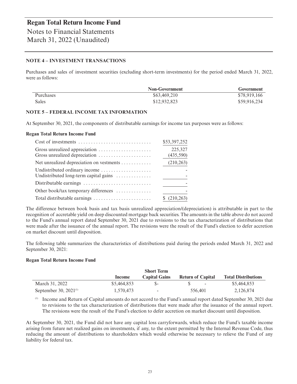March 31, 2022 (Unaudited)

#### **NOTE 4 – INVESTMENT TRANSACTIONS**

Purchases and sales of investment securities (excluding short-term investments) for the period ended March 31, 2022, were as follows:

|                  | <b>Non-Government</b> | Government   |
|------------------|-----------------------|--------------|
| <b>Purchases</b> | \$63,469,210          | \$78,919,166 |
| Sales            | \$12,932,823          | \$59,916,234 |

#### **NOTE 5 – FEDERAL INCOME TAX INFORMATION**

At September 30, 2021, the components of distributable earnings for income tax purposes were as follows:

#### **Regan Total Return Income Fund**

| $Cost of investments \dots \dots \dots \dots \dots \dots \dots \dots \dots \dots$ | \$53,397,252         |
|-----------------------------------------------------------------------------------|----------------------|
| Gross unrealized depreciation                                                     | 225,327<br>(435,590) |
| Net unrealized depreciation on vestments                                          | (210, 263)           |
| Undistributed ordinary income<br>Undistributed long-term capital gains            |                      |
|                                                                                   |                      |
| Other book/tax temporary differences                                              |                      |
|                                                                                   | (210, 263)           |

The difference between book basis and tax basis unrealized appreciation/(depreciation) is attributable in part to the recognition of accretable yield on deep discounted mortgage back securities. The amounts in the table above do not accord to the Fund's annual report dated September 30, 2021 due to revisions to the tax characterization of distributions that were made after the issuance of the annual report. The revisions were the result of the Fund's election to defer accretion on market discount until disposition.

The following table summarizes the characteristics of distributions paid during the periods ended March 31, 2022 and September 30, 2021:

#### **Regan Total Return Income Fund**

|                            |             | <b>Short Term</b>        |                          |                            |
|----------------------------|-------------|--------------------------|--------------------------|----------------------------|
|                            | Income      | <b>Capital Gains</b>     | <b>Return of Capital</b> | <b>Total Distributions</b> |
| March 31, 2022             | \$5,464,853 |                          | $\sim$                   | \$5,464,853                |
| September 30, $2021^{(1)}$ | 1.570.473   | $\overline{\phantom{0}}$ | 556,401                  | 2,126,874                  |

(1) Income and Return of Capital amounts do not accord to the Fund's annual report dated September 30, 2021 due to revisions to the tax characterization of distributions that were made after the issuance of the annual report. The revisions were the result of the Fund's election to defer accretion on market discount until disposition.

At September 30, 2021, the Fund did not have any capital loss carryforwards, which reduce the Fund's taxable income arising from future net realized gains on investments, if any, to the extent permitted by the Internal Revenue Code, thus reducing the amount of distributions to shareholders which would otherwise be necessary to relieve the Fund of any liability for federal tax.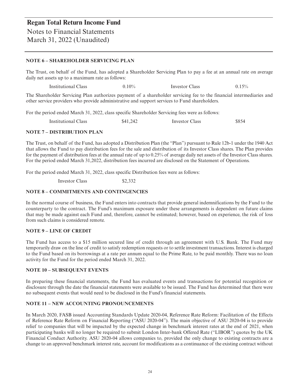#### **NOTE 6 – SHAREHOLDER SERVICING PLAN**

The Trust, on behalf of the Fund, has adopted a Shareholder Servicing Plan to pay a fee at an annual rate on average daily net assets up to a maximum rate as follows:

Institutional Class 0.10% Investor Class 0.15%

The Shareholder Servicing Plan authorizes payment of a shareholder servicing fee to the financial intermediaries and other service providers who provide administrative and support services to Fund shareholders.

For the period ended March 31, 2022, class specific Shareholder Servicing fees were as follows:

Institutional Class \$41,242 Investor Class \$854

#### **NOTE 7 – DISTRIBUTION PLAN**

The Trust, on behalf of the Fund, has adopted a Distribution Plan (the "Plan") pursuant to Rule 12b-1 under the 1940 Act that allows the Fund to pay distribution fees for the sale and distribution of its Investor Class shares. The Plan provides for the payment of distribution fees at the annual rate of up to 0.25% of average daily net assets of the Investor Class shares. For the period ended March 31,2022, distribution fees incurred are disclosed on the Statement of Operations.

For the period ended March 31, 2022, class specific Distribution fees were as follows:

Investor Class \$2,332

#### **NOTE 8 – COMMITMENTS AND CONTINGENCIES**

In the normal course of business, the Fund enters into contracts that provide general indemnifications by the Fund to the counterparty to the contract. The Fund's maximum exposure under these arrangements is dependent on future claims that may be made against each Fund and, therefore, cannot be estimated; however, based on experience, the risk of loss from such claims is considered remote.

#### **NOTE 9 – LINE OF CREDIT**

The Fund has access to a \$15 million secured line of credit through an agreement with U.S. Bank. The Fund may temporarily draw on the line of credit to satisfy redemption requests or to settle investment transactions. Interest is charged to the Fund based on its borrowings at a rate per annum equal to the Prime Rate, to be paid monthly. There was no loan activity for the Fund for the period ended March 31, 2022.

#### **NOTE 10 – SUBSEQUENT EVENTS**

In preparing these financial statements, the Fund has evaluated events and transactions for potential recognition or disclosure through the date the financial statements were available to be issued. The Fund has determined that there were no subsequent events that would need to be disclosed in the Fund's financial statements.

#### **NOTE 11 – NEW ACCOUNTING PRONOUNCEMENTS**

In March 2020, FASB issued Accounting Standards Update 2020-04, Reference Rate Reform: Facilitation of the Effects of Reference Rate Reform on Financial Reporting ("ASU 2020-04"). The main objective of ASU 2020-04 is to provide relief to companies that will be impacted by the expected change in benchmark interest rates at the end of 2021, when participating banks will no longer be required to submit London Inter-bank Offered Rate ("LIBOR") quotes by the UK Financial Conduct Authority. ASU 2020-04 allows companies to, provided the only change to existing contracts are a change to an approved benchmark interest rate, account for modifications as a continuance of the existing contract without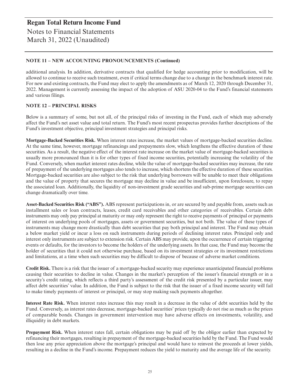### **Regan Total Return Income Fund** Notes to Financial Statements March 31, 2022 (Unaudited)

#### **NOTE 11 – NEW ACCOUNTING PRONOUNCEMENTS (Continued)**

additional analysis. In addition, derivative contracts that qualified for hedge accounting prior to modification, will be allowed to continue to receive such treatment, even if critical terms change due to a change in the benchmark interest rate. For new and existing contracts, the Fund may elect to apply the amendments as of March 12, 2020 through December 31, 2022. Management is currently assessing the impact of the adoption of ASU 2020-04 to the Fund's financial statements and various filings.

#### **NOTE 12 – PRINCIPAL RISKS**

Below is a summary of some, but not all, of the principal risks of investing in the Fund, each of which may adversely affect the Fund's net asset value and total return. The Fund's most recent prospectus provides further descriptions of the Fund's investment objective, principal investment strategies and principal risks.

**Mortgage-Backed Securities Risk.** When interest rates increase, the market values of mortgage-backed securities decline. At the same time, however, mortgage refinancings and prepayments slow, which lengthens the effective duration of these securities. As a result, the negative effect of the interest rate increase on the market value of mortgage-backed securities is usually more pronounced than it is for other types of fixed income securities, potentially increasing the volatility of the Fund. Conversely, when market interest rates decline, while the value of mortgage-backed securities may increase, the rate of prepayment of the underlying mortgages also tends to increase, which shortens the effective duration of these securities. Mortgage-backed securities are also subject to the risk that underlying borrowers will be unable to meet their obligations and the value of property that secures the mortgage may decline in value and be insufficient, upon foreclosure, to repay the associated loan. Additionally, the liquidity of non-investment grade securities and sub-prime mortgage securities can change dramatically over time.

**Asset-Backed Securities Risk ("ABS").** ABS represent participations in, or are secured by and payable from, assets such as installment sales or loan contracts, leases, credit card receivables and other categories of receivables. Certain debt instruments may only pay principal at maturity or may only represent the right to receive payments of principal or payments of interest on underlying pools of mortgages, assets or government securities, but not both. The value of these types of instruments may change more drastically than debt securities that pay both principal and interest. The Fund may obtain a below market yield or incur a loss on such instruments during periods of declining interest rates. Principal only and interest only instruments are subject to extension risk. Certain ABS may provide, upon the occurrence of certain triggering events or defaults, for the investors to become the holders of the underlying assets. In that case, the Fund may become the holder of securities that it could not otherwise purchase, based on its investment strategies or its investment restrictions and limitations, at a time when such securities may be difficult to dispose of because of adverse market conditions.

**Credit Risk.** There is a risk that the issuer of a mortgage-backed security may experience unanticipated financial problems causing their securities to decline in value. Changes in the market's perception of the issuer's financial strength or in a security's credit rating, which reflects a third party's assessment of the credit risk presented by a particular issuer, may affect debt securities' value. In addition, the Fund is subject to the risk that the issuer of a fixed income security will fail to make timely payments of interest or principal, or may stop making such payments altogether.

**Interest Rate Risk.** When interest rates increase this may result in a decrease in the value of debt securities held by the Fund. Conversely, as interest rates decrease, mortgage-backed securities' prices typically do not rise as much as the prices of comparable bonds. Changes in government intervention may have adverse effects on investments, volatility, and illiquidity in debt markets.

**Prepayment Risk.** When interest rates fall, certain obligations may be paid off by the obligor earlier than expected by refinancing their mortgages, resulting in prepayment of the mortgage-backed securities held by the Fund. The Fund would then lose any price appreciation above the mortgage's principal and would have to reinvest the proceeds at lower yields, resulting in a decline in the Fund's income. Prepayment reduces the yield to maturity and the average life of the security.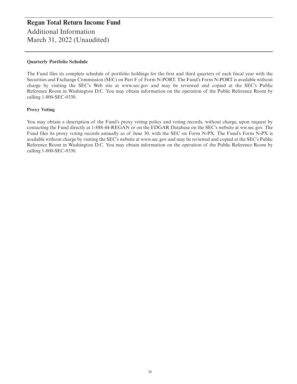#### **Quarterly Portfolio Schedule**

The Fund files its complete schedule of portfolio holdings for the first and third quarters of each fiscal year with the Securities and Exchange Commission (SEC) on Part F of Form N-PORT. The Fund's Form N-PORT is available without charge by visiting the SEC's Web site at www.sec.gov and may be reviewed and copied at the SEC's Public Reference Room in Washington D.C. You may obtain information on the operation of the Public Reference Room by calling 1-800-SEC-0330.

#### **Proxy Voting**

You may obtain a description of the Fund's proxy voting policy and voting records, without charge, upon request by contacting the Fund directly at 1-888-44-REGAN or on the EDGAR Database on the SEC's website at ww.sec.gov. The Fund files its proxy voting records annually as of June 30, with the SEC on Form N-PX. The Fund's Form N-PX is available without charge by visiting the SEC's website at www.sec.gov and may be reviewed and copied at the SEC's Public Reference Room in Washington D.C. You may obtain information on the operation of the Public Reference Room by calling 1-800-SEC-0330.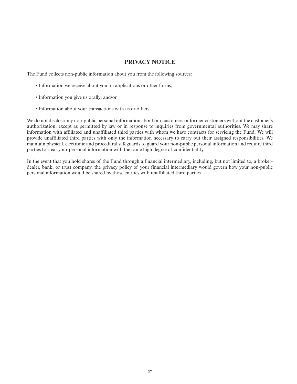#### **PRIVACY NOTICE**

The Fund collects non-public information about you from the following sources:

- Information we receive about you on applications or other forms;
- Information you give us orally; and/or
- Information about your transactions with us or others.

We do not disclose any non-public personal information about our customers or former customers without the customer's authorization, except as permitted by law or in response to inquiries from governmental authorities. We may share information with affiliated and unaffiliated third parties with whom we have contracts for servicing the Fund. We will provide unaffiliated third parties with only the information necessary to carry out their assigned responsibilities. We maintain physical, electronic and procedural safeguards to guard your non-public personal information and require third parties to treat your personal information with the same high degree of confidentiality.

In the event that you hold shares of the Fund through a financial intermediary, including, but not limited to, a brokerdealer, bank, or trust company, the privacy policy of your financial intermediary would govern how your non-public personal information would be shared by those entities with unaffiliated third parties.